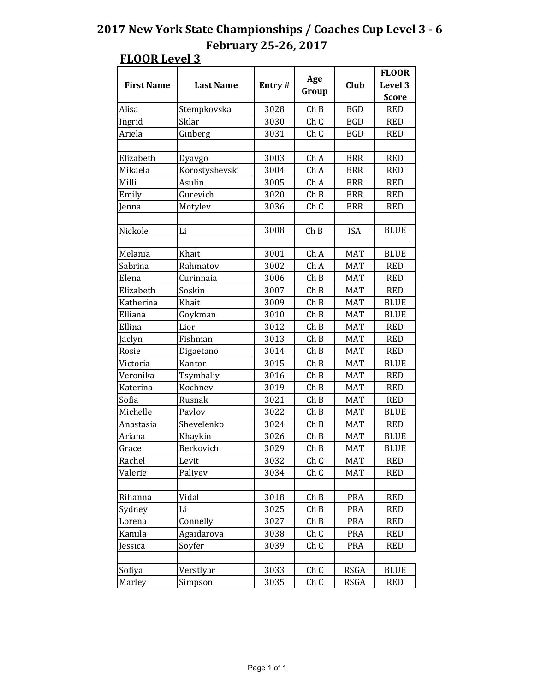|                   |                  |        |       |             | <b>FLOOR</b> |
|-------------------|------------------|--------|-------|-------------|--------------|
| <b>First Name</b> | <b>Last Name</b> | Entry# | Age   | Club        | Level 3      |
|                   |                  |        | Group |             | <b>Score</b> |
| Alisa             | Stempkovska      | 3028   | ChB   | <b>BGD</b>  | <b>RED</b>   |
| Ingrid            | Sklar            | 3030   | ChC   | <b>BGD</b>  | <b>RED</b>   |
| Ariela            | Ginberg          | 3031   | Ch C  | <b>BGD</b>  | <b>RED</b>   |
|                   |                  |        |       |             |              |
| Elizabeth         | Dyavgo           | 3003   | Ch A  | <b>BRR</b>  | <b>RED</b>   |
| Mikaela           | Korostyshevski   | 3004   | Ch A  | <b>BRR</b>  | <b>RED</b>   |
| Milli             | Asulin           | 3005   | Ch A  | <b>BRR</b>  | <b>RED</b>   |
| Emily             | Gurevich         | 3020   | Ch B  | <b>BRR</b>  | <b>RED</b>   |
| Jenna             | Motylev          | 3036   | Ch C  | <b>BRR</b>  | <b>RED</b>   |
|                   |                  |        |       |             |              |
| Nickole           | Li               | 3008   | Ch B  | <b>ISA</b>  | <b>BLUE</b>  |
|                   |                  |        |       |             |              |
| Melania           | Khait            | 3001   | Ch A  | <b>MAT</b>  | <b>BLUE</b>  |
| Sabrina           | Rahmatov         | 3002   | Ch A  | <b>MAT</b>  | <b>RED</b>   |
| Elena             | Curinnaia        | 3006   | ChB   | <b>MAT</b>  | <b>RED</b>   |
| Elizabeth         | Soskin           | 3007   | ChB   | <b>MAT</b>  | <b>RED</b>   |
| Katherina         | Khait            | 3009   | ChB   | <b>MAT</b>  | <b>BLUE</b>  |
| Elliana           | Goykman          | 3010   | Ch B  | <b>MAT</b>  | <b>BLUE</b>  |
| Ellina            | Lior             | 3012   | ChB   | <b>MAT</b>  | <b>RED</b>   |
| Jaclyn            | Fishman          | 3013   | Ch B  | <b>MAT</b>  | <b>RED</b>   |
| Rosie             | Digaetano        | 3014   | ChB   | <b>MAT</b>  | <b>RED</b>   |
| Victoria          | Kantor           | 3015   | ChB   | <b>MAT</b>  | <b>BLUE</b>  |
| Veronika          | Tsymbaliy        | 3016   | ChB   | <b>MAT</b>  | <b>RED</b>   |
| Katerina          | Kochnev          | 3019   | Ch B  | MAT         | <b>RED</b>   |
| Sofia             | Rusnak           | 3021   | Ch B  | <b>MAT</b>  | <b>RED</b>   |
| Michelle          | Pavlov           | 3022   | Ch B  | <b>MAT</b>  | <b>BLUE</b>  |
| Anastasia         | Shevelenko       | 3024   | ChB   | <b>MAT</b>  | <b>RED</b>   |
| Ariana            | Khaykin          | 3026   | ChB   | <b>MAT</b>  | <b>BLUE</b>  |
| Grace             | Berkovich        | 3029   | Ch B  | <b>MAT</b>  | <b>BLUE</b>  |
| Rachel            | Levit            | 3032   | Ch C  | MAT         | <b>RED</b>   |
| Valerie           | Paliyev          | 3034   | Ch C  | <b>MAT</b>  | <b>RED</b>   |
|                   |                  |        |       |             |              |
| Rihanna           | Vidal            | 3018   | Ch B  | <b>PRA</b>  | <b>RED</b>   |
| Sydney            | Li               | 3025   | Ch B  | <b>PRA</b>  | <b>RED</b>   |
| Lorena            | Connelly         | 3027   | Ch B  | PRA         | <b>RED</b>   |
| Kamila            | Agaidarova       | 3038   | Ch C  | <b>PRA</b>  | <b>RED</b>   |
| Jessica           | Soyfer           | 3039   | Ch C  | <b>PRA</b>  | <b>RED</b>   |
|                   |                  |        |       |             |              |
| Sofiya            | Verstlyar        | 3033   | Ch C  | <b>RSGA</b> | <b>BLUE</b>  |
| Marley            | Simpson          | 3035   | Ch C  | <b>RSGA</b> | <b>RED</b>   |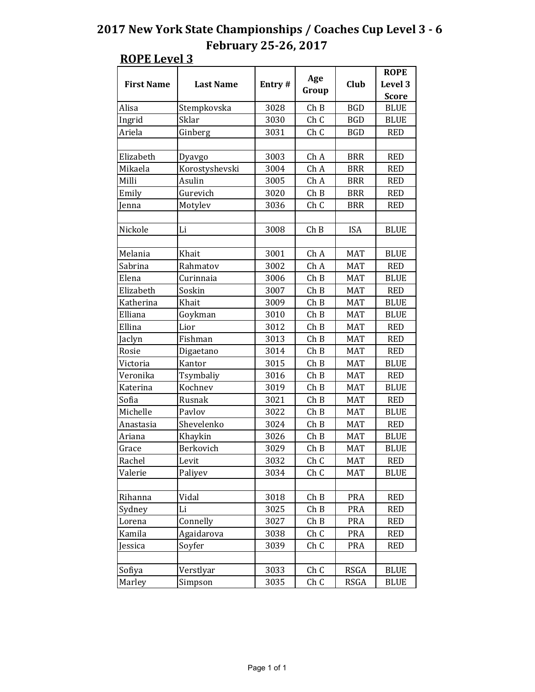|                   |                  |        |                 |             | <b>ROPE</b>  |
|-------------------|------------------|--------|-----------------|-------------|--------------|
| <b>First Name</b> | <b>Last Name</b> | Entry# | Age             | Club        | Level 3      |
|                   |                  |        | Group           |             | <b>Score</b> |
| Alisa             | Stempkovska      | 3028   | ChB             | <b>BGD</b>  | <b>BLUE</b>  |
| Ingrid            | Sklar            | 3030   | Ch <sub>C</sub> | <b>BGD</b>  | <b>BLUE</b>  |
| Ariela            | Ginberg          | 3031   | Ch <sub>C</sub> | <b>BGD</b>  | <b>RED</b>   |
|                   |                  |        |                 |             |              |
| Elizabeth         | Dyavgo           | 3003   | Ch A            | <b>BRR</b>  | <b>RED</b>   |
| Mikaela           | Korostyshevski   | 3004   | Ch A            | <b>BRR</b>  | <b>RED</b>   |
| Milli             | Asulin           | 3005   | Ch A            | <b>BRR</b>  | <b>RED</b>   |
| Emily             | Gurevich         | 3020   | ChB             | <b>BRR</b>  | <b>RED</b>   |
| lenna             | Motylev          | 3036   | Ch C            | <b>BRR</b>  | <b>RED</b>   |
|                   |                  |        |                 |             |              |
| Nickole           | Li               | 3008   | Ch B            | <b>ISA</b>  | <b>BLUE</b>  |
|                   |                  |        |                 |             |              |
| Melania           | Khait            | 3001   | ChA             | <b>MAT</b>  | <b>BLUE</b>  |
| Sabrina           | Rahmatov         | 3002   | Ch A            | <b>MAT</b>  | <b>RED</b>   |
| Elena             | Curinnaia        | 3006   | ChB             | <b>MAT</b>  | <b>BLUE</b>  |
| Elizabeth         | Soskin           | 3007   | ChB             | <b>MAT</b>  | <b>RED</b>   |
| Katherina         | Khait            | 3009   | ChB             | <b>MAT</b>  | <b>BLUE</b>  |
| Elliana           | Goykman          | 3010   | Ch B            | <b>MAT</b>  | <b>BLUE</b>  |
| Ellina            | Lior             | 3012   | ChB             | <b>MAT</b>  | <b>RED</b>   |
| Jaclyn            | Fishman          | 3013   | Ch B            | <b>MAT</b>  | <b>RED</b>   |
| Rosie             | Digaetano        | 3014   | ChB             | <b>MAT</b>  | <b>RED</b>   |
| Victoria          | Kantor           | 3015   | ChB             | <b>MAT</b>  | <b>BLUE</b>  |
| Veronika          | Tsymbaliy        | 3016   | ChB             | <b>MAT</b>  | <b>RED</b>   |
| Katerina          | Kochnev          | 3019   | Ch B            | MAT         | <b>BLUE</b>  |
| Sofia             | Rusnak           | 3021   | Ch B            | <b>MAT</b>  | <b>RED</b>   |
| Michelle          | Pavlov           | 3022   | Ch B            | <b>MAT</b>  | <b>BLUE</b>  |
| Anastasia         | Shevelenko       | 3024   | Ch B            | <b>MAT</b>  | <b>RED</b>   |
| Ariana            | Khaykin          | 3026   | ChB             | <b>MAT</b>  | <b>BLUE</b>  |
| Grace             | Berkovich        | 3029   | Ch B            | MAT         | <b>BLUE</b>  |
| Rachel            | Levit            | 3032   | Ch C            | MAT         | <b>RED</b>   |
| Valerie           | Paliyev          | 3034   | Ch C            | <b>MAT</b>  | <b>BLUE</b>  |
|                   |                  |        |                 |             |              |
| Rihanna           | Vidal            | 3018   | Ch B            | <b>PRA</b>  | <b>RED</b>   |
| Sydney            | Li               | 3025   | Ch B            | PRA         | <b>RED</b>   |
| Lorena            | Connelly         | 3027   | Ch B            | PRA         | <b>RED</b>   |
| Kamila            | Agaidarova       | 3038   | Ch C            | PRA         | <b>RED</b>   |
| Jessica           | Soyfer           | 3039   | Ch C            | <b>PRA</b>  | <b>RED</b>   |
|                   |                  |        |                 |             |              |
| Sofiya            | Verstlyar        | 3033   | Ch C            | <b>RSGA</b> | <b>BLUE</b>  |
| Marley            | Simpson          | 3035   | Ch C            | RSGA        | <b>BLUE</b>  |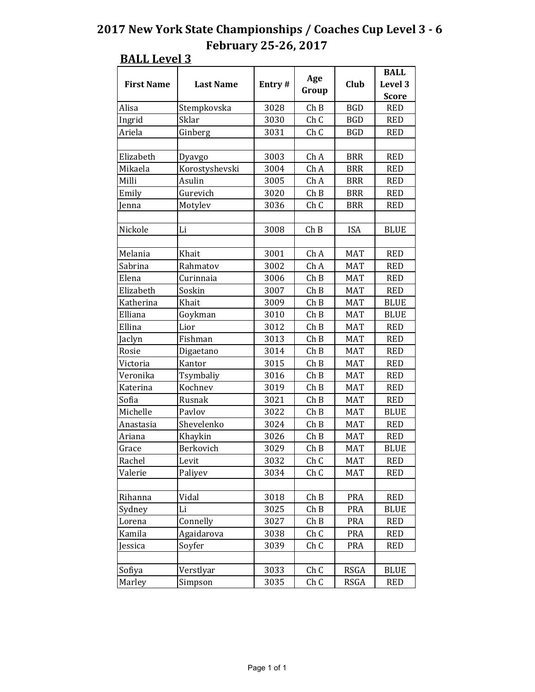#### **BALL Level 3 First Name**  $\begin{vmatrix} \text{First Name} \\ \text{Last Name} \end{vmatrix}$  **Entry**  $\# \begin{vmatrix} \text{Age} \\ \text{B} \end{vmatrix}$ **Group Club BALL**  Level 3 **Score** Alisa | Stempkovska | 3028 | Ch B | BGD | RED Ingrid Sklar | 3030 Ch C BGD RED Ariela | Ginberg | 3031 | Ch C | BGD | RED Elizabeth | Dyavgo | 3003 | Ch $A$  | BRR | RED Mikaela | Korostyshevski | 3004 | Ch A | BRR | RED Milli Asulin 3005 Ch A BRR RED Emily | Gurevich | 3020 | Ch B | BRR | RED Jenna Motylev | 3036 Ch C BRR RED Nickole Li 3008 Ch B ISA BLUE Melania Khait 3001 Ch A MAT RED Sabrina | Rahmatov | 3002 | Ch $\AA$  | MAT | RED Elena | Curinnaia | 3006 | Ch B | MAT | RED Elizabeth Soskin | 3007 Ch B MAT RED Katherina Khait 3009 Ch B MAT BLUE Elliana Goykman 3010 Ch B MAT BLUE Ellina Lior 3012 Ch B MAT RED Jaclyn Fishman 3013 Ch B MAT RED Rosie Digaetano | 3014 Ch B | MAT | RED Victoria | Kantor | 3015 | Ch B | MAT | RED Veronika Tsymbaliy 3016 Ch B MAT RED Katerina | Kochnev | 3019 | Ch B | MAT | RED Sofia | Rusnak | 3021 | Ch B | MAT | RED Michelle Pavlov 13022 Ch B MAT BLUE Anastasia Shevelenko 3024 Ch B MAT RED Ariana | Khaykin | 3026 | Ch B | MAT | RED Grace Berkovich | 3029 Ch B MAT BLUE Rachel | Levit | 3032 | Ch C | MAT | RED Valerie | Paliyev | 3034 | Ch C | MAT | RED Rihanna Vidal | 3018 Ch B PRA RED Sydney | Li | 3025 | Ch B | PRA | BLUE Lorena | Connelly | 3027 | Ch B | PRA | RED Kamila | Agaidarova | 3038 | Ch C | PRA | RED Jessica Soyfer 3039 Ch C PRA RED Sofiya | Verstlyar | 3033 | Ch C | RSGA | BLUE Marley Simpson | 3035 Ch C RSGA RED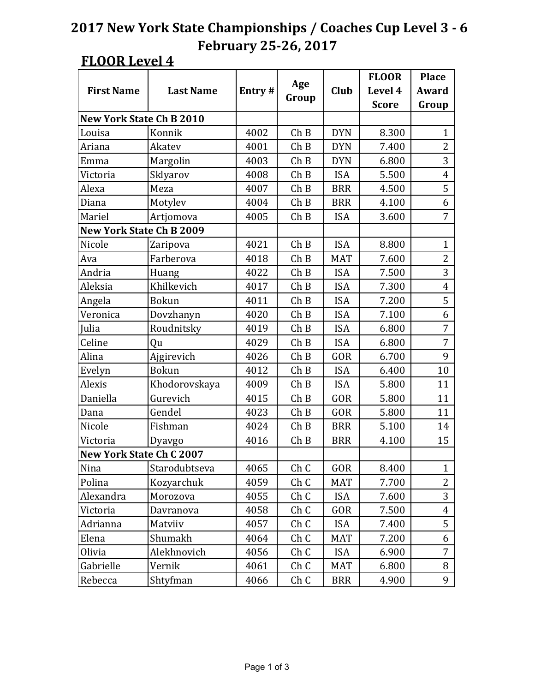|                                 |                  |        |                 |            | <b>FLOOR</b> | <b>Place</b>   |
|---------------------------------|------------------|--------|-----------------|------------|--------------|----------------|
| <b>First Name</b>               | <b>Last Name</b> | Entry# | Age             | Club       | Level 4      | Award          |
|                                 |                  |        | Group           |            | <b>Score</b> | Group          |
| <b>New York State Ch B 2010</b> |                  |        |                 |            |              |                |
| Louisa                          | Konnik           | 4002   | Ch B            | <b>DYN</b> | 8.300        | 1              |
| Ariana                          | Akatev           | 4001   | Ch B            | <b>DYN</b> | 7.400        | $\overline{2}$ |
| Emma                            | Margolin         | 4003   | ChB             | <b>DYN</b> | 6.800        | 3              |
| Victoria                        | Sklyarov         | 4008   | Ch B            | <b>ISA</b> | 5.500        | 4              |
| Alexa                           | Meza             | 4007   | Ch B            | <b>BRR</b> | 4.500        | 5              |
| Diana                           | Motylev          | 4004   | ChB             | <b>BRR</b> | 4.100        | 6              |
| Mariel                          | Artjomova        | 4005   | Ch B            | <b>ISA</b> | 3.600        | $\overline{7}$ |
| <b>New York State Ch B 2009</b> |                  |        |                 |            |              |                |
| Nicole                          | Zaripova         | 4021   | ChB             | <b>ISA</b> | 8.800        | $\mathbf{1}$   |
| Ava                             | Farberova        | 4018   | Ch B            | <b>MAT</b> | 7.600        | 2              |
| Andria                          | Huang            | 4022   | Ch B            | <b>ISA</b> | 7.500        | 3              |
| Aleksia                         | Khilkevich       | 4017   | ChB             | <b>ISA</b> | 7.300        | $\overline{4}$ |
| Angela                          | <b>Bokun</b>     | 4011   | Ch B            | <b>ISA</b> | 7.200        | 5              |
| Veronica                        | Dovzhanyn        | 4020   | Ch B            | <b>ISA</b> | 7.100        | 6              |
| Julia                           | Roudnitsky       | 4019   | ChB             | <b>ISA</b> | 6.800        | 7              |
| Celine                          | Qu               | 4029   | Ch B            | <b>ISA</b> | 6.800        | 7              |
| Alina                           | Ajgirevich       | 4026   | Ch B            | GOR        | 6.700        | 9              |
| Evelyn                          | <b>Bokun</b>     | 4012   | ChB             | <b>ISA</b> | 6.400        | 10             |
| Alexis                          | Khodorovskaya    | 4009   | Ch B            | <b>ISA</b> | 5.800        | 11             |
| Daniella                        | Gurevich         | 4015   | Ch B            | GOR        | 5.800        | 11             |
| Dana                            | Gendel           | 4023   | ChB             | GOR        | 5.800        | 11             |
| Nicole                          | Fishman          | 4024   | Ch B            | <b>BRR</b> | 5.100        | 14             |
| Victoria                        | Dyavgo           | 4016   | Ch B            | <b>BRR</b> | 4.100        | 15             |
| <b>New York State Ch C 2007</b> |                  |        |                 |            |              |                |
| Nina                            | Starodubtseva    | 4065   | Ch C            | GOR        | 8.400        | 1              |
| Polina                          | Kozyarchuk       | 4059   | ChC             | <b>MAT</b> | 7.700        | $\overline{2}$ |
| Alexandra                       | Morozova         | 4055   | Ch <sub>C</sub> | <b>ISA</b> | 7.600        | 3              |
| Victoria                        | Davranova        | 4058   | Ch C            | GOR        | 7.500        | 4              |
| Adrianna                        | Matviiv          | 4057   | ChC             | <b>ISA</b> | 7.400        | 5              |
| Elena                           | Shumakh          | 4064   | Ch C            | <b>MAT</b> | 7.200        | 6              |
| Olivia                          | Alekhnovich      | 4056   | Ch C            | <b>ISA</b> | 6.900        | 7              |
| Gabrielle                       | Vernik           | 4061   | Ch C            | <b>MAT</b> | 6.800        | 8              |
| Rebecca                         | Shtyfman         | 4066   | Ch <sub>C</sub> | <b>BRR</b> | 4.900        | 9              |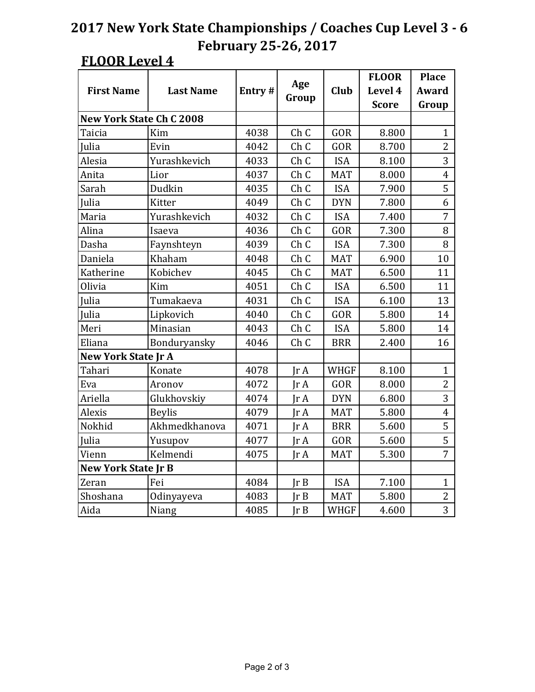|                                 |                  |        |                         |             | <b>FLOOR</b> | <b>Place</b>   |
|---------------------------------|------------------|--------|-------------------------|-------------|--------------|----------------|
| <b>First Name</b>               | <b>Last Name</b> | Entry# | Age                     | Club        | Level 4      | <b>Award</b>   |
|                                 |                  |        | Group                   |             | <b>Score</b> | Group          |
| <b>New York State Ch C 2008</b> |                  |        |                         |             |              |                |
| Taicia                          | Kim              | 4038   | Ch <sub>C</sub>         | GOR         | 8.800        | 1              |
| Julia                           | Evin             | 4042   | ChC                     | GOR         | 8.700        | $\overline{2}$ |
| Alesia                          | Yurashkevich     | 4033   | Ch <sub>C</sub>         | <b>ISA</b>  | 8.100        | 3              |
| Anita                           | Lior             | 4037   | Ch C                    | <b>MAT</b>  | 8.000        | $\overline{4}$ |
| Sarah                           | Dudkin           | 4035   | Ch <sub>C</sub>         | <b>ISA</b>  | 7.900        | 5              |
| Julia                           | Kitter           | 4049   | Ch <sub>C</sub>         | <b>DYN</b>  | 7.800        | 6              |
| Maria                           | Yurashkevich     | 4032   | Ch <sub>C</sub>         | <b>ISA</b>  | 7.400        | 7              |
| Alina                           | Isaeva           | 4036   | Ch <sub>C</sub>         | GOR         | 7.300        | 8              |
| Dasha                           | Faynshteyn       | 4039   | Ch <sub>C</sub>         | <b>ISA</b>  | 7.300        | 8              |
| Daniela                         | Khaham           | 4048   | Ch <sub>C</sub>         | <b>MAT</b>  | 6.900        | 10             |
| Katherine                       | Kobichev         | 4045   | Ch <sub>C</sub>         | <b>MAT</b>  | 6.500        | 11             |
| Olivia                          | Kim              | 4051   | Ch <sub>C</sub>         | <b>ISA</b>  | 6.500        | 11             |
| Julia                           | Tumakaeva        | 4031   | Ch <sub>C</sub>         | <b>ISA</b>  | 6.100        | 13             |
| Julia                           | Lipkovich        | 4040   | Ch <sub>C</sub>         | GOR         | 5.800        | 14             |
| Meri                            | Minasian         | 4043   | ChC                     | <b>ISA</b>  | 5.800        | 14             |
| Eliana                          | Bonduryansky     | 4046   | Ch <sub>C</sub>         | <b>BRR</b>  | 2.400        | 16             |
| <b>New York State Jr A</b>      |                  |        |                         |             |              |                |
| Tahari                          | Konate           | 4078   | $\text{Tr }A$           | WHGF        | 8.100        | $\mathbf{1}$   |
| Eva                             | Aronov           | 4072   | JrA                     | GOR         | 8.000        | $\overline{2}$ |
| Ariella                         | Glukhovskiy      | 4074   | $\text{Tr }A$           | <b>DYN</b>  | 6.800        | 3              |
| Alexis                          | <b>Beylis</b>    | 4079   | $\text{Tr } \mathbf{A}$ | <b>MAT</b>  | 5.800        | $\overline{4}$ |
| Nokhid                          | Akhmedkhanova    | 4071   | $\text{Ir } A$          | <b>BRR</b>  | 5.600        | 5              |
| Julia                           | Yusupov          | 4077   | IrA                     | GOR         | 5.600        | 5              |
| Vienn                           | Kelmendi         | 4075   | $\text{Tr }A$           | <b>MAT</b>  | 5.300        | $\overline{7}$ |
| <b>New York State Jr B</b>      |                  |        |                         |             |              |                |
| Zeran                           | Fei              | 4084   | Ir B                    | <b>ISA</b>  | 7.100        | $\mathbf{1}$   |
| Shoshana                        | Odinyayeva       | 4083   | Ir B                    | <b>MAT</b>  | 5.800        | $\overline{2}$ |
| Aida                            | Niang            | 4085   | Ir B                    | <b>WHGF</b> | 4.600        | 3              |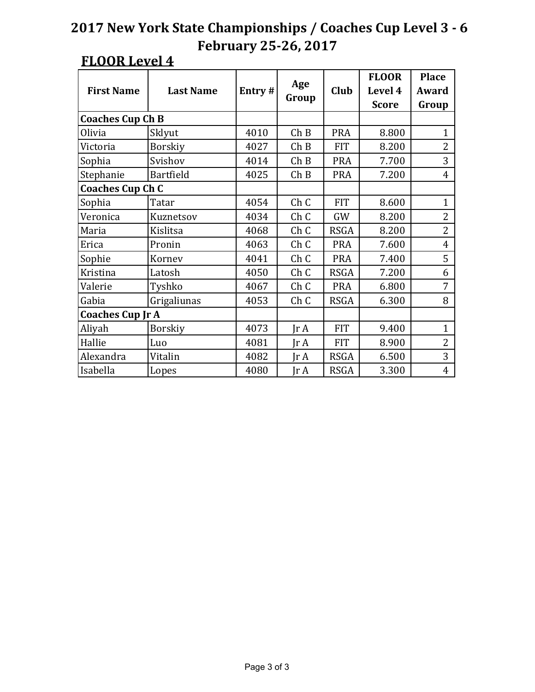|                         |                  |        |                 |             | <b>FLOOR</b> | <b>Place</b>   |
|-------------------------|------------------|--------|-----------------|-------------|--------------|----------------|
| <b>First Name</b>       | <b>Last Name</b> | Entry# | Age             | Club        | Level 4      | Award          |
|                         |                  |        | Group           |             | <b>Score</b> | Group          |
| <b>Coaches Cup Ch B</b> |                  |        |                 |             |              |                |
| Olivia                  | Sklyut           | 4010   | Ch B            | <b>PRA</b>  | 8.800        | $\mathbf{1}$   |
| Victoria                | <b>Borskiy</b>   | 4027   | ChB             | <b>FIT</b>  | 8.200        | $\overline{2}$ |
| Sophia                  | Svishov          | 4014   | ChB             | <b>PRA</b>  | 7.700        | 3              |
| Stephanie               | Bartfield        | 4025   | Ch B            | <b>PRA</b>  | 7.200        | 4              |
| <b>Coaches Cup Ch C</b> |                  |        |                 |             |              |                |
| Sophia                  | Tatar            | 4054   | Ch <sub>C</sub> | <b>FIT</b>  | 8.600        | $\mathbf{1}$   |
| Veronica                | Kuznetsov        | 4034   | ChC             | GW          | 8.200        | $\overline{2}$ |
| Maria                   | Kislitsa         | 4068   | Ch <sub>C</sub> | <b>RSGA</b> | 8.200        | $\overline{2}$ |
| Erica                   | Pronin           | 4063   | ChC             | <b>PRA</b>  | 7.600        | $\overline{4}$ |
| Sophie                  | Kornev           | 4041   | Ch <sub>C</sub> | <b>PRA</b>  | 7.400        | 5              |
| Kristina                | Latosh           | 4050   | Ch <sub>C</sub> | <b>RSGA</b> | 7.200        | 6              |
| Valerie                 | Tyshko           | 4067   | Ch <sub>C</sub> | <b>PRA</b>  | 6.800        | 7              |
| Gabia                   | Grigaliunas      | 4053   | Ch <sub>C</sub> | <b>RSGA</b> | 6.300        | 8              |
| <b>Coaches Cup Jr A</b> |                  |        |                 |             |              |                |
| Aliyah                  | <b>Borskiy</b>   | 4073   | $\text{Ir } A$  | <b>FIT</b>  | 9.400        | $\mathbf{1}$   |
| Hallie                  | Luo              | 4081   | Jr A            | <b>FIT</b>  | 8.900        | 2              |
| Alexandra               | Vitalin          | 4082   | IrA             | <b>RSGA</b> | 6.500        | 3              |
| Isabella                | Lopes            | 4080   | Jr A            | <b>RSGA</b> | 3.300        | $\overline{4}$ |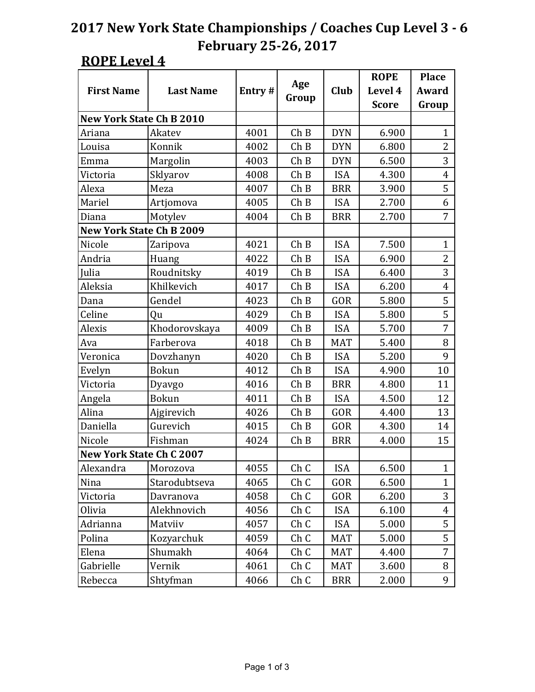|                                 |                  |        |                 |             | <b>ROPE</b>  | <b>Place</b>   |
|---------------------------------|------------------|--------|-----------------|-------------|--------------|----------------|
| <b>First Name</b>               | <b>Last Name</b> | Entry# | Age             | <b>Club</b> | Level 4      | <b>Award</b>   |
|                                 |                  |        | Group           |             | <b>Score</b> | Group          |
| <b>New York State Ch B 2010</b> |                  |        |                 |             |              |                |
| Ariana                          | Akatev           | 4001   | Ch B            | <b>DYN</b>  | 6.900        | 1              |
| Louisa                          | Konnik           | 4002   | Ch B            | <b>DYN</b>  | 6.800        | $\overline{2}$ |
| Emma                            | Margolin         | 4003   | ChB             | <b>DYN</b>  | 6.500        | 3              |
| Victoria                        | Sklyarov         | 4008   | Ch B            | <b>ISA</b>  | 4.300        | $\overline{4}$ |
| Alexa                           | Meza             | 4007   | Ch B            | <b>BRR</b>  | 3.900        | 5              |
| Mariel                          | Artjomova        | 4005   | Ch B            | <b>ISA</b>  | 2.700        | 6              |
| Diana                           | Motylev          | 4004   | Ch B            | <b>BRR</b>  | 2.700        | 7              |
| <b>New York State Ch B 2009</b> |                  |        |                 |             |              |                |
| Nicole                          | Zaripova         | 4021   | Ch B            | <b>ISA</b>  | 7.500        | $\mathbf{1}$   |
| Andria                          | Huang            | 4022   | Ch B            | <b>ISA</b>  | 6.900        | $\overline{2}$ |
| Julia                           | Roudnitsky       | 4019   | Ch B            | <b>ISA</b>  | 6.400        | 3              |
| Aleksia                         | Khilkevich       | 4017   | Ch B            | <b>ISA</b>  | 6.200        | $\overline{4}$ |
| Dana                            | Gendel           | 4023   | Ch B            | GOR         | 5.800        | 5              |
| Celine                          | Qu               | 4029   | Ch B            | <b>ISA</b>  | 5.800        | 5              |
| Alexis                          | Khodorovskaya    | 4009   | Ch B            | <b>ISA</b>  | 5.700        | 7              |
| Ava                             | Farberova        | 4018   | ChB             | <b>MAT</b>  | 5.400        | 8              |
| Veronica                        | Dovzhanyn        | 4020   | Ch B            | <b>ISA</b>  | 5.200        | 9              |
| Evelyn                          | <b>Bokun</b>     | 4012   | Ch B            | <b>ISA</b>  | 4.900        | 10             |
| Victoria                        | Dyavgo           | 4016   | Ch B            | <b>BRR</b>  | 4.800        | 11             |
| Angela                          | <b>Bokun</b>     | 4011   | Ch B            | <b>ISA</b>  | 4.500        | 12             |
| Alina                           | Ajgirevich       | 4026   | ChB             | GOR         | 4.400        | 13             |
| Daniella                        | Gurevich         | 4015   | Ch B            | GOR         | 4.300        | 14             |
| Nicole                          | Fishman          | 4024   | Ch B            | <b>BRR</b>  | 4.000        | 15             |
| <b>New York State Ch C 2007</b> |                  |        |                 |             |              |                |
| Alexandra                       | Morozova         | 4055   | Ch <sub>C</sub> | <b>ISA</b>  | 6.500        | 1              |
| Nina                            | Starodubtseva    | 4065   | Ch C            | GOR         | 6.500        | $\mathbf{1}$   |
| Victoria                        | Davranova        | 4058   | Ch C            | GOR         | 6.200        | 3              |
| Olivia                          | Alekhnovich      | 4056   | Ch C            | <b>ISA</b>  | 6.100        | 4              |
| Adrianna                        | Matviiv          | 4057   | Ch C            | <b>ISA</b>  | 5.000        | 5              |
| Polina                          | Kozyarchuk       | 4059   | Ch C            | <b>MAT</b>  | 5.000        | 5              |
| Elena                           | Shumakh          | 4064   | Ch C            | MAT         | 4.400        | 7              |
| Gabrielle                       | Vernik           | 4061   | Ch C            | <b>MAT</b>  | 3.600        | 8              |
| Rebecca                         | Shtyfman         | 4066   | Ch C            | <b>BRR</b>  | 2.000        | 9              |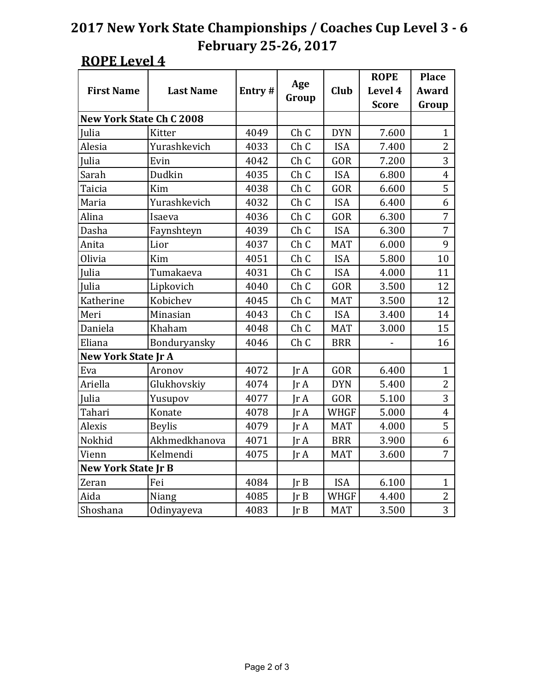|                                 |                  |                                       |                 |             | <b>ROPE</b>  | <b>Place</b>   |
|---------------------------------|------------------|---------------------------------------|-----------------|-------------|--------------|----------------|
| <b>First Name</b>               | <b>Last Name</b> | Entry#                                | Age             | Club        | Level 4      | <b>Award</b>   |
|                                 |                  |                                       | Group           |             | <b>Score</b> | Group          |
| <b>New York State Ch C 2008</b> |                  |                                       |                 |             |              |                |
| <b>Julia</b>                    | Kitter           | Ch <sub>C</sub><br>4049<br><b>DYN</b> |                 | 7.600       | $\mathbf{1}$ |                |
| Alesia                          | Yurashkevich     | 4033                                  | Ch <sub>C</sub> | <b>ISA</b>  | 7.400        | $\overline{2}$ |
| Julia                           | Evin             | 4042                                  | Ch <sub>C</sub> | GOR         | 7.200        | 3              |
| Sarah                           | Dudkin           | 4035                                  | Ch <sub>C</sub> | <b>ISA</b>  | 6.800        | $\overline{4}$ |
| Taicia                          | Kim              | 4038                                  | Ch <sub>C</sub> | GOR         | 6.600        | 5              |
| Maria                           | Yurashkevich     | 4032                                  | Ch <sub>C</sub> | <b>ISA</b>  | 6.400        | 6              |
| Alina                           | Isaeva           | 4036                                  | Ch <sub>C</sub> | <b>GOR</b>  | 6.300        | $\overline{7}$ |
| Dasha                           | Faynshteyn       | 4039                                  | Ch <sub>C</sub> | <b>ISA</b>  | 6.300        | 7              |
| Anita                           | Lior             | 4037                                  | Ch <sub>C</sub> | <b>MAT</b>  | 6.000        | 9              |
| Olivia                          | Kim              | 4051                                  | Ch <sub>C</sub> | <b>ISA</b>  | 5.800        | 10             |
| Julia                           | Tumakaeva        | 4031                                  | Ch <sub>C</sub> | <b>ISA</b>  | 4.000        | 11             |
| Julia                           | Lipkovich        | 4040                                  | Ch <sub>C</sub> | GOR         | 3.500        | 12             |
| Katherine                       | Kobichev         | 4045                                  | Ch <sub>C</sub> | <b>MAT</b>  | 3.500        | 12             |
| Meri                            | Minasian         | 4043                                  | Ch <sub>C</sub> | <b>ISA</b>  | 3.400        | 14             |
| Daniela                         | Khaham           | 4048                                  | ChC             | <b>MAT</b>  | 3.000        | 15             |
| Eliana                          | Bonduryansky     | 4046                                  | Ch <sub>C</sub> | <b>BRR</b>  |              | 16             |
| <b>New York State Jr A</b>      |                  |                                       |                 |             |              |                |
| Eva                             | Aronov           | 4072                                  | $\text{Ir } A$  | GOR         | 6.400        | $\mathbf{1}$   |
| Ariella                         | Glukhovskiy      | 4074                                  | IrA             | <b>DYN</b>  | 5.400        | $\overline{2}$ |
| Julia                           | Yusupov          | 4077                                  | IrA             | GOR         | 5.100        | 3              |
| Tahari                          | Konate           | 4078                                  | JrA             | <b>WHGF</b> | 5.000        | $\overline{4}$ |
| Alexis                          | <b>Beylis</b>    | 4079                                  | $\text{Ir } A$  | <b>MAT</b>  | 4.000        | 5              |
| Nokhid                          | Akhmedkhanova    | 4071                                  | IrA             | <b>BRR</b>  | 3.900        | 6              |
| Vienn                           | Kelmendi         | 4075                                  | $\text{Tr }A$   | <b>MAT</b>  | 3.600        | 7              |
| <b>New York State Jr B</b>      |                  |                                       |                 |             |              |                |
| Zeran                           | Fei              | 4084                                  | Ir B            | <b>ISA</b>  | 6.100        | $\mathbf{1}$   |
| Aida                            | Niang            | 4085                                  | Ir B            | <b>WHGF</b> | 4.400        | $\overline{2}$ |
| Shoshana                        | Odinyayeva       | 4083                                  | Ir B            | <b>MAT</b>  | 3.500        | 3              |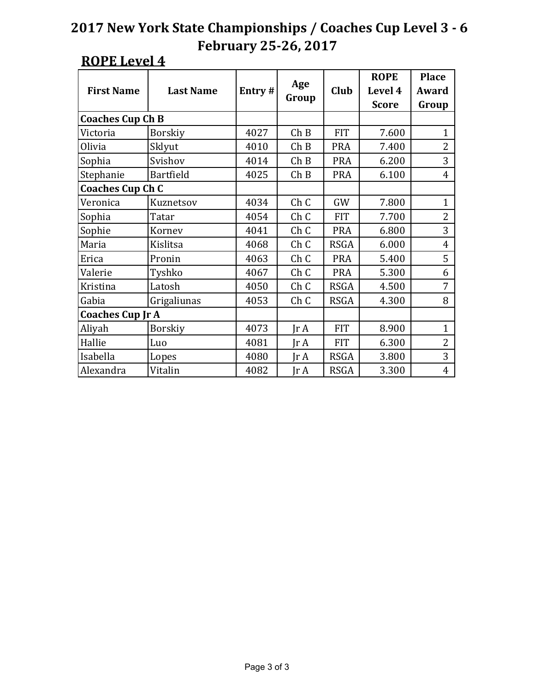|                         | <b>Last Name</b> |        |                 |             | <b>ROPE</b>  | <b>Place</b>   |
|-------------------------|------------------|--------|-----------------|-------------|--------------|----------------|
| <b>First Name</b>       |                  | Entry# | Age             | Club        | Level 4      | Award          |
|                         |                  |        | Group           |             | <b>Score</b> | Group          |
| <b>Coaches Cup Ch B</b> |                  |        |                 |             |              |                |
| Victoria                | <b>Borskiy</b>   | 4027   | Ch B            | <b>FIT</b>  | 7.600        | $\mathbf{1}$   |
| Olivia                  | Sklyut           | 4010   | ChB             | <b>PRA</b>  | 7.400        | $\overline{2}$ |
| Sophia                  | Svishov          | 4014   | ChB             | <b>PRA</b>  | 6.200        | 3              |
| Stephanie               | Bartfield        | 4025   | ChB             | <b>PRA</b>  | 6.100        | 4              |
| <b>Coaches Cup Ch C</b> |                  |        |                 |             |              |                |
| Veronica                | Kuznetsov        | 4034   | Ch <sub>C</sub> | GW          | 7.800        | $\mathbf{1}$   |
| Sophia                  | Tatar            | 4054   | ChC             | <b>FIT</b>  | 7.700        | $\overline{2}$ |
| Sophie                  | Kornev           | 4041   | Ch <sub>C</sub> | <b>PRA</b>  | 6.800        | 3              |
| Maria                   | Kislitsa         | 4068   | ChC             | <b>RSGA</b> | 6.000        | $\overline{4}$ |
| Erica                   | Pronin           | 4063   | Ch <sub>C</sub> | <b>PRA</b>  | 5.400        | 5              |
| Valerie                 | Tyshko           | 4067   | Ch <sub>C</sub> | <b>PRA</b>  | 5.300        | 6              |
| Kristina                | Latosh           | 4050   | Ch <sub>C</sub> | <b>RSGA</b> | 4.500        | 7              |
| Gabia                   | Grigaliunas      | 4053   | Ch <sub>C</sub> | <b>RSGA</b> | 4.300        | 8              |
| <b>Coaches Cup Jr A</b> |                  |        |                 |             |              |                |
| Aliyah                  | <b>Borskiy</b>   | 4073   | $\text{Ir } A$  | <b>FIT</b>  | 8.900        | $\mathbf{1}$   |
| Hallie                  | Luo              | 4081   | Jr A            | <b>FIT</b>  | 6.300        | $\overline{2}$ |
| Isabella                | Lopes            | 4080   | IrA             | <b>RSGA</b> | 3.800        | 3              |
| Alexandra               | Vitalin          | 4082   | Jr A            | <b>RSGA</b> | 3.300        | $\overline{4}$ |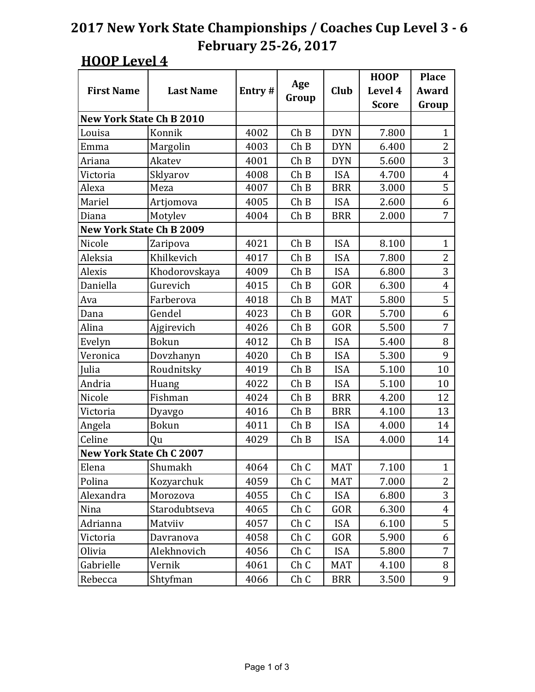|                                 |                  |        |                 |             | <b>HOOP</b>  | <b>Place</b>   |
|---------------------------------|------------------|--------|-----------------|-------------|--------------|----------------|
| <b>First Name</b>               | <b>Last Name</b> | Entry# | Age             | <b>Club</b> | Level 4      | Award          |
|                                 |                  |        | Group           |             | <b>Score</b> | Group          |
| <b>New York State Ch B 2010</b> |                  |        |                 |             |              |                |
| Louisa                          | Konnik           | 4002   | Ch B            | <b>DYN</b>  | 7.800        | $\mathbf{1}$   |
| Emma                            | Margolin         | 4003   | Ch B            | <b>DYN</b>  | 6.400        | $\overline{2}$ |
| Ariana                          | Akatev           | 4001   | ChB             | <b>DYN</b>  | 5.600        | 3              |
| Victoria                        | Sklyarov         | 4008   | Ch B            | <b>ISA</b>  | 4.700        | 4              |
| Alexa                           | Meza             | 4007   | ChB             | <b>BRR</b>  | 3.000        | 5              |
| Mariel                          | Artjomova        | 4005   | Ch B            | <b>ISA</b>  | 2.600        | 6              |
| Diana                           | Motylev          | 4004   | Ch B            | <b>BRR</b>  | 2.000        | 7              |
| <b>New York State Ch B 2009</b> |                  |        |                 |             |              |                |
| Nicole                          | Zaripova         | 4021   | ChB             | <b>ISA</b>  | 8.100        | $\mathbf{1}$   |
| Aleksia                         | Khilkevich       | 4017   | Ch B            | <b>ISA</b>  | 7.800        | $\overline{2}$ |
| Alexis                          | Khodorovskaya    | 4009   | Ch B            | <b>ISA</b>  | 6.800        | 3              |
| Daniella                        | Gurevich         | 4015   | ChB             | GOR         | 6.300        | $\overline{4}$ |
| Ava                             | Farberova        | 4018   | Ch B            | <b>MAT</b>  | 5.800        | 5              |
| Dana                            | Gendel           | 4023   | Ch B            | GOR         | 5.700        | 6              |
| Alina                           | Ajgirevich       | 4026   | ChB             | GOR         | 5.500        | 7              |
| Evelyn                          | <b>Bokun</b>     | 4012   | Ch B            | <b>ISA</b>  | 5.400        | 8              |
| Veronica                        | Dovzhanyn        | 4020   | Ch B            | <b>ISA</b>  | 5.300        | 9              |
| Julia                           | Roudnitsky       | 4019   | Ch B            | <b>ISA</b>  | 5.100        | 10             |
| Andria                          | Huang            | 4022   | Ch B            | <b>ISA</b>  | 5.100        | 10             |
| Nicole                          | Fishman          | 4024   | ChB             | <b>BRR</b>  | 4.200        | 12             |
| Victoria                        | Dyavgo           | 4016   | Ch B            | <b>BRR</b>  | 4.100        | 13             |
| Angela                          | <b>Bokun</b>     | 4011   | Ch B            | <b>ISA</b>  | 4.000        | 14             |
| Celine                          | Qu               | 4029   | Ch B            | <b>ISA</b>  | 4.000        | 14             |
| <b>New York State Ch C 2007</b> |                  |        |                 |             |              |                |
| Elena                           | Shumakh          | 4064   | Ch <sub>C</sub> | <b>MAT</b>  | 7.100        | $\mathbf 1$    |
| Polina                          | Kozyarchuk       | 4059   | Ch C            | <b>MAT</b>  | 7.000        | $\overline{2}$ |
| Alexandra                       | Morozova         | 4055   | Ch C            | <b>ISA</b>  | 6.800        | 3              |
| Nina                            | Starodubtseva    | 4065   | ChC             | GOR         | 6.300        | $\overline{4}$ |
| Adrianna                        | Matviiv          | 4057   | Ch C            | <b>ISA</b>  | 6.100        | 5              |
| Victoria                        | Davranova        | 4058   | Ch <sub>C</sub> | GOR         | 5.900        | 6              |
| Olivia                          | Alekhnovich      | 4056   | ChC             | <b>ISA</b>  | 5.800        | 7              |
| Gabrielle                       | Vernik           | 4061   | Ch C            | <b>MAT</b>  | 4.100        | 8              |
| Rebecca                         | Shtyfman         | 4066   | ChC             | <b>BRR</b>  | 3.500        | 9              |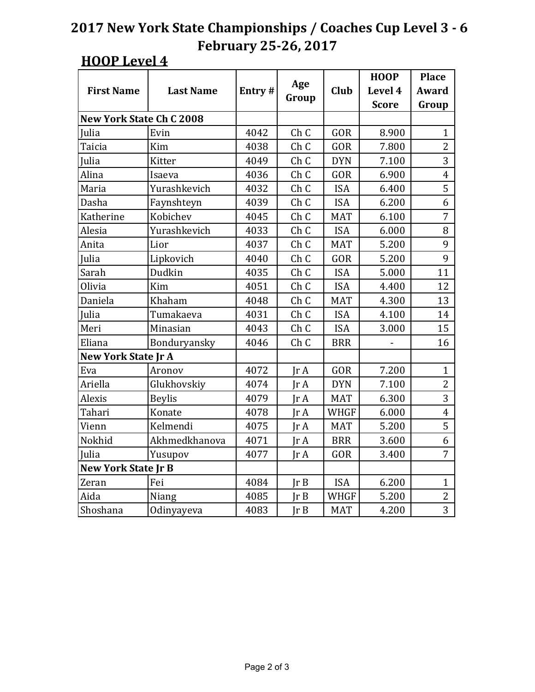|                                 |                  |        |                         |             | <b>HOOP</b>  | <b>Place</b>   |
|---------------------------------|------------------|--------|-------------------------|-------------|--------------|----------------|
| <b>First Name</b>               | <b>Last Name</b> | Entry# | Age                     | Club        | Level 4      | <b>Award</b>   |
|                                 |                  |        | Group                   |             | <b>Score</b> | Group          |
| <b>New York State Ch C 2008</b> |                  |        |                         |             |              |                |
| <b>Iulia</b>                    | Evin             | 4042   | Ch <sub>C</sub>         | GOR         | 8.900        | $\mathbf{1}$   |
| Taicia                          | Kim              | 4038   | Ch <sub>C</sub>         | GOR         | 7.800        | $\overline{2}$ |
| Julia                           | Kitter           | 4049   | Ch <sub>C</sub>         | <b>DYN</b>  | 7.100        | 3              |
| Alina                           | Isaeva           | 4036   | Ch <sub>C</sub>         | GOR         | 6.900        | $\overline{4}$ |
| Maria                           | Yurashkevich     | 4032   | Ch <sub>C</sub>         | <b>ISA</b>  | 6.400        | 5              |
| Dasha                           | Faynshteyn       | 4039   | Ch <sub>C</sub>         | <b>ISA</b>  | 6.200        | 6              |
| Katherine                       | Kobichev         | 4045   | Ch <sub>C</sub>         | <b>MAT</b>  | 6.100        | $\overline{7}$ |
| Alesia                          | Yurashkevich     | 4033   | Ch <sub>C</sub>         | <b>ISA</b>  | 6.000        | 8              |
| Anita                           | Lior             | 4037   | Ch C                    | <b>MAT</b>  | 5.200        | 9              |
| Julia                           | Lipkovich        | 4040   | Ch <sub>C</sub>         | GOR         | 5.200        | 9              |
| Sarah                           | Dudkin           | 4035   | Ch <sub>C</sub>         | <b>ISA</b>  | 5.000        | 11             |
| Olivia                          | Kim              | 4051   | Ch <sub>C</sub>         | <b>ISA</b>  | 4.400        | 12             |
| Daniela                         | Khaham           | 4048   | Ch <sub>C</sub>         | <b>MAT</b>  | 4.300        | 13             |
| Julia                           | Tumakaeva        | 4031   | Ch <sub>C</sub>         | <b>ISA</b>  | 4.100        | 14             |
| Meri                            | Minasian         | 4043   | Ch <sub>C</sub>         | <b>ISA</b>  | 3.000        | 15             |
| Eliana                          | Bonduryansky     | 4046   | Ch <sub>C</sub>         | <b>BRR</b>  |              | 16             |
| <b>New York State Jr A</b>      |                  |        |                         |             |              |                |
| Eva                             | Aronov           | 4072   | $\text{Tr }A$           | GOR         | 7.200        | $\mathbf{1}$   |
| Ariella                         | Glukhovskiy      | 4074   | IrA                     | <b>DYN</b>  | 7.100        | $\overline{2}$ |
| Alexis                          | <b>Beylis</b>    | 4079   | $\text{Tr }A$           | <b>MAT</b>  | 6.300        | 3              |
| Tahari                          | Konate           | 4078   | $\text{Tr }A$           | <b>WHGF</b> | 6.000        | $\overline{4}$ |
| Vienn                           | Kelmendi         | 4075   | IrA                     | <b>MAT</b>  | 5.200        | 5              |
| Nokhid                          | Akhmedkhanova    | 4071   | $\text{Tr }A$           | <b>BRR</b>  | 3.600        | 6              |
| Julia                           | Yusupov          | 4077   | $\text{Tr } \mathbf{A}$ | GOR         | 3.400        | $\overline{7}$ |
| <b>New York State Jr B</b>      |                  |        |                         |             |              |                |
| Zeran                           | Fei              | 4084   | JrB                     | <b>ISA</b>  | 6.200        | $\mathbf{1}$   |
| Aida                            | Niang            | 4085   | Ir B                    | <b>WHGF</b> | 5.200        | $\overline{2}$ |
| Shoshana                        | Odinyayeva       | 4083   | Ir B                    | <b>MAT</b>  | 4.200        | 3              |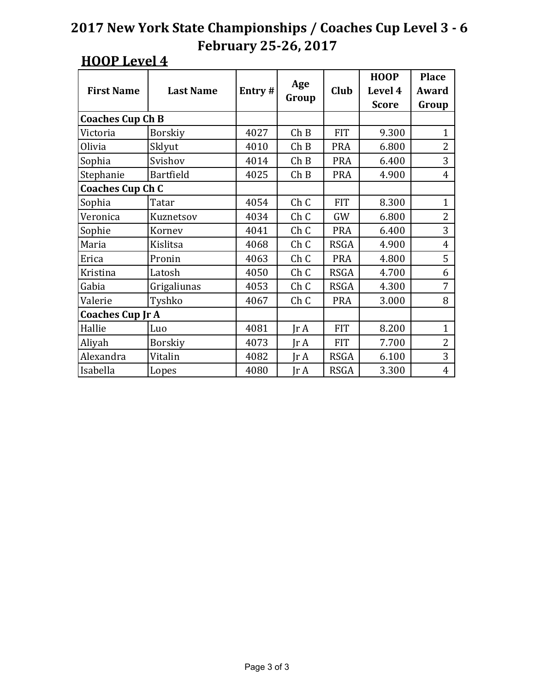|                         |                  |        |                 |             | <b>HOOP</b>  | <b>Place</b>   |
|-------------------------|------------------|--------|-----------------|-------------|--------------|----------------|
| <b>First Name</b>       | <b>Last Name</b> | Entry# | Age             | Club        | Level 4      | Award          |
|                         |                  |        | Group           |             | <b>Score</b> | Group          |
| <b>Coaches Cup Ch B</b> |                  |        |                 |             |              |                |
| Victoria                | <b>Borskiy</b>   | 4027   | Ch B            | <b>FIT</b>  | 9.300        | $\mathbf{1}$   |
| Olivia                  | Sklyut           | 4010   | ChB             | <b>PRA</b>  | 6.800        | $\overline{2}$ |
| Sophia                  | Svishov          | 4014   | ChB             | <b>PRA</b>  | 6.400        | 3              |
| Stephanie               | <b>Bartfield</b> | 4025   | Ch B            | <b>PRA</b>  | 4.900        | 4              |
| <b>Coaches Cup Ch C</b> |                  |        |                 |             |              |                |
| Sophia                  | Tatar            | 4054   | ChC             | <b>FIT</b>  | 8.300        | $\mathbf{1}$   |
| Veronica                | Kuznetsov        | 4034   | ChC             | GW          | 6.800        | $\overline{2}$ |
| Sophie                  | Kornev           | 4041   | Ch <sub>C</sub> | <b>PRA</b>  | 6.400        | 3              |
| Maria                   | Kislitsa         | 4068   | ChC             | <b>RSGA</b> | 4.900        | $\overline{4}$ |
| Erica                   | Pronin           | 4063   | Ch <sub>C</sub> | <b>PRA</b>  | 4.800        | 5              |
| Kristina                | Latosh           | 4050   | Ch <sub>C</sub> | <b>RSGA</b> | 4.700        | 6              |
| Gabia                   | Grigaliunas      | 4053   | Ch <sub>C</sub> | <b>RSGA</b> | 4.300        | 7              |
| Valerie                 | Tyshko           | 4067   | Ch <sub>C</sub> | <b>PRA</b>  | 3.000        | 8              |
| <b>Coaches Cup Jr A</b> |                  |        |                 |             |              |                |
| Hallie                  | Luo              | 4081   | $\text{Ir } A$  | <b>FIT</b>  | 8.200        | $\mathbf{1}$   |
| Aliyah                  | <b>Borskiy</b>   | 4073   | Jr A            | <b>FIT</b>  | 7.700        | 2              |
| Alexandra               | Vitalin          | 4082   | IrA             | <b>RSGA</b> | 6.100        | 3              |
| Isabella                | Lopes            | 4080   | Jr A            | <b>RSGA</b> | 3.300        | $\overline{4}$ |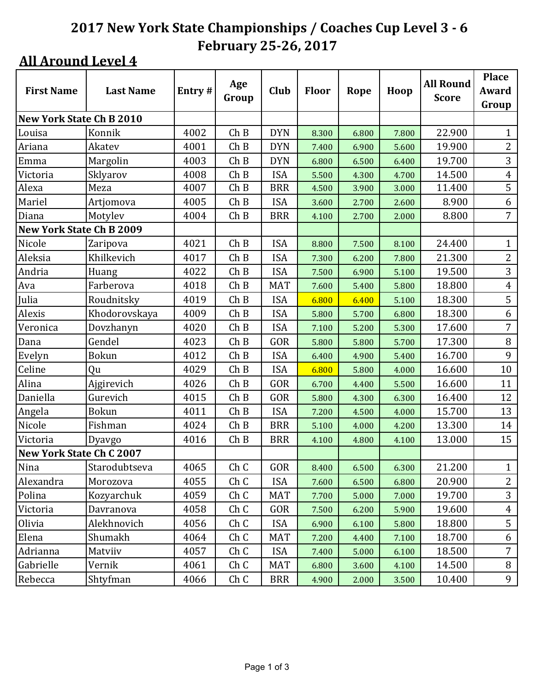| <b>First Name</b>               | <b>Last Name</b> | Entry# | Age   | <b>Club</b> | <b>Floor</b> | Rope  | <b>All Round</b><br>Hoop |              | <b>Place</b><br>Award |
|---------------------------------|------------------|--------|-------|-------------|--------------|-------|--------------------------|--------------|-----------------------|
|                                 |                  |        | Group |             |              |       |                          | <b>Score</b> | Group                 |
| <b>New York State Ch B 2010</b> |                  |        |       |             |              |       |                          |              |                       |
| Louisa                          | Konnik           | 4002   | Ch B  | <b>DYN</b>  | 8.300        | 6.800 | 7.800                    | 22.900       | $\mathbf{1}$          |
| Ariana                          | Akatev           | 4001   | ChB   | <b>DYN</b>  | 7.400        | 6.900 | 5.600                    | 19.900       | $\overline{2}$        |
| Emma                            | Margolin         | 4003   | Ch B  | <b>DYN</b>  | 6.800        | 6.500 | 6.400                    | 19.700       | 3                     |
| Victoria                        | Sklyarov         | 4008   | Ch B  | <b>ISA</b>  | 5.500        | 4.300 | 4.700                    | 14.500       | $\overline{4}$        |
| Alexa                           | Meza             | 4007   | Ch B  | <b>BRR</b>  | 4.500        | 3.900 | 3.000                    | 11.400       | $\overline{5}$        |
| Mariel                          | Artjomova        | 4005   | Ch B  | <b>ISA</b>  | 3.600        | 2.700 | 2.600                    | 8.900        | 6                     |
| Diana                           | Motylev          | 4004   | ChB   | <b>BRR</b>  | 4.100        | 2.700 | 2.000                    | 8.800        | 7                     |
| New York State Ch B 2009        |                  |        |       |             |              |       |                          |              |                       |
| Nicole                          | Zaripova         | 4021   | ChB   | <b>ISA</b>  | 8.800        | 7.500 | 8.100                    | 24.400       | $\mathbf{1}$          |
| Aleksia                         | Khilkevich       | 4017   | Ch B  | <b>ISA</b>  | 7.300        | 6.200 | 7.800                    | 21.300       | $\overline{2}$        |
| Andria                          | Huang            | 4022   | Ch B  | <b>ISA</b>  | 7.500        | 6.900 | 5.100                    | 19.500       | 3                     |
| Ava                             | Farberova        | 4018   | Ch B  | <b>MAT</b>  | 7.600        | 5.400 | 5.800                    | 18.800       | $\overline{4}$        |
| Julia                           | Roudnitsky       | 4019   | Ch B  | <b>ISA</b>  | 6.800        | 6.400 | 5.100                    | 18.300       | 5                     |
| Alexis                          | Khodorovskaya    | 4009   | Ch B  | <b>ISA</b>  | 5.800        | 5.700 | 6.800                    | 18.300       | 6                     |
| Veronica                        | Dovzhanyn        | 4020   | Ch B  | <b>ISA</b>  | 7.100        | 5.200 | 5.300                    | 17.600       | 7                     |
| Dana                            | Gendel           | 4023   | Ch B  | GOR         | 5.800        | 5.800 | 5.700                    | 17.300       | $\, 8$                |
| Evelyn                          | <b>Bokun</b>     | 4012   | Ch B  | <b>ISA</b>  | 6.400        | 4.900 | 5.400                    | 16.700       | 9                     |
| Celine                          | Qu               | 4029   | Ch B  | <b>ISA</b>  | 6.800        | 5.800 | 4.000                    | 16.600       | 10                    |
| Alina                           | Ajgirevich       | 4026   | Ch B  | GOR         | 6.700        | 4.400 | 5.500                    | 16.600       | 11                    |
| Daniella                        | Gurevich         | 4015   | Ch B  | GOR         | 5.800        | 4.300 | 6.300                    | 16.400       | 12                    |
| Angela                          | <b>Bokun</b>     | 4011   | Ch B  | <b>ISA</b>  | 7.200        | 4.500 | 4.000                    | 15.700       | 13                    |
| Nicole                          | Fishman          | 4024   | Ch B  | <b>BRR</b>  | 5.100        | 4.000 | 4.200                    | 13.300       | 14                    |
| Victoria                        | Dyavgo           | 4016   | Ch B  | <b>BRR</b>  | 4.100        | 4.800 | 4.100                    | 13.000       | 15                    |
| <b>New York State Ch C 2007</b> |                  |        |       |             |              |       |                          |              |                       |
| Nina                            | Starodubtseva    | 4065   | Ch C  | GOR         | 8.400        | 6.500 | 6.300                    | 21.200       | $\mathbf{1}$          |
| Alexandra                       | Morozova         | 4055   | Ch C  | <b>ISA</b>  | 7.600        | 6.500 | 6.800                    | 20.900       | $\overline{2}$        |
| Polina                          | Kozyarchuk       | 4059   | Ch C  | <b>MAT</b>  | 7.700        | 5.000 | 7.000                    | 19.700       | 3                     |
| Victoria                        | Davranova        | 4058   | Ch C  | GOR         | 7.500        | 6.200 | 5.900                    | 19.600       | $\overline{4}$        |
| Olivia                          | Alekhnovich      | 4056   | Ch C  | ISA         | 6.900        | 6.100 | 5.800                    | 18.800       | 5                     |
| Elena                           | Shumakh          | 4064   | Ch C  | <b>MAT</b>  | 7.200        | 4.400 | 7.100                    | 18.700       | 6                     |
| Adrianna                        | Matviiv          | 4057   | Ch C  | <b>ISA</b>  | 7.400        | 5.000 | 6.100                    | 18.500       | $\overline{7}$        |
| Gabrielle                       | Vernik           | 4061   | Ch C  | MAT         | 6.800        | 3.600 | 4.100                    | 14.500       | 8                     |
| Rebecca                         | Shtyfman         | 4066   | Ch C  | <b>BRR</b>  | 4.900        | 2.000 | 3.500                    | 10.400       | 9                     |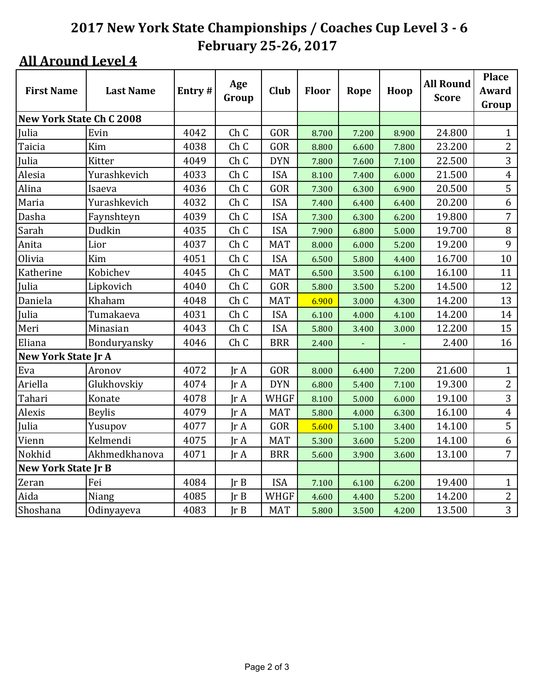| <b>First Name</b>               | <b>Last Name</b> | Entry# | Age<br>Group            | Club        | <b>Floor</b> | Rope  | Hoop  | <b>All Round</b><br><b>Score</b> | <b>Place</b><br>Award<br>Group |
|---------------------------------|------------------|--------|-------------------------|-------------|--------------|-------|-------|----------------------------------|--------------------------------|
| <b>New York State Ch C 2008</b> |                  |        |                         |             |              |       |       |                                  |                                |
| Julia                           | Evin             | 4042   | Ch <sub>C</sub>         | GOR         | 8.700        | 7.200 | 8.900 | 24.800                           | $\mathbf{1}$                   |
| Taicia                          | Kim              | 4038   | Ch <sub>C</sub>         | GOR         | 8.800        | 6.600 | 7.800 | 23.200                           | $\overline{2}$                 |
| Julia                           | Kitter           | 4049   | Ch C                    | <b>DYN</b>  | 7.800        | 7.600 | 7.100 | 22.500                           | 3                              |
| Alesia                          | Yurashkevich     | 4033   | Ch C                    | <b>ISA</b>  | 8.100        | 7.400 | 6.000 | 21.500                           | $\overline{4}$                 |
| Alina                           | Isaeva           | 4036   | Ch <sub>C</sub>         | GOR         | 7.300        | 6.300 | 6.900 | 20.500                           | 5                              |
| Maria                           | Yurashkevich     | 4032   | Ch <sub>C</sub>         | <b>ISA</b>  | 7.400        | 6.400 | 6.400 | 20.200                           | 6                              |
| Dasha                           | Faynshteyn       | 4039   | Ch <sub>C</sub>         | <b>ISA</b>  | 7.300        | 6.300 | 6.200 | 19.800                           | 7                              |
| Sarah                           | Dudkin           | 4035   | Ch <sub>C</sub>         | <b>ISA</b>  | 7.900        | 6.800 | 5.000 | 19.700                           | $\, 8$                         |
| Anita                           | Lior             | 4037   | Ch C                    | <b>MAT</b>  | 8.000        | 6.000 | 5.200 | 19.200                           | 9                              |
| Olivia                          | Kim              | 4051   | Ch <sub>C</sub>         | <b>ISA</b>  | 6.500        | 5.800 | 4.400 | 16.700                           | 10                             |
| Katherine                       | Kobichev         | 4045   | Ch C                    | <b>MAT</b>  | 6.500        | 3.500 | 6.100 | 16.100                           | 11                             |
| Julia                           | Lipkovich        | 4040   | Ch C                    | GOR         | 5.800        | 3.500 | 5.200 | 14.500                           | 12                             |
| Daniela                         | Khaham           | 4048   | Ch C                    | <b>MAT</b>  | 6.900        | 3.000 | 4.300 | 14.200                           | 13                             |
| Julia                           | Tumakaeva        | 4031   | Ch <sub>C</sub>         | <b>ISA</b>  | 6.100        | 4.000 | 4.100 | 14.200                           | 14                             |
| Meri                            | Minasian         | 4043   | Ch C                    | <b>ISA</b>  | 5.800        | 3.400 | 3.000 | 12.200                           | 15                             |
| Eliana                          | Bonduryansky     | 4046   | Ch <sub>C</sub>         | <b>BRR</b>  | 2.400        |       |       | 2.400                            | 16                             |
| New York State Jr A             |                  |        |                         |             |              |       |       |                                  |                                |
| Eva                             | Aronov           | 4072   | JrA                     | GOR         | 8.000        | 6.400 | 7.200 | 21.600                           | $\mathbf{1}$                   |
| Ariella                         | Glukhovskiy      | 4074   | $\text{Tr }A$           | <b>DYN</b>  | 6.800        | 5.400 | 7.100 | 19.300                           | $\overline{2}$                 |
| Tahari                          | Konate           | 4078   | $\text{Tr }A$           | <b>WHGF</b> | 8.100        | 5.000 | 6.000 | 19.100                           | 3                              |
| Alexis                          | <b>Beylis</b>    | 4079   | $\text{Tr } \mathbf{A}$ | <b>MAT</b>  | 5.800        | 4.000 | 6.300 | 16.100                           | $\overline{4}$                 |
| Julia                           | Yusupov          | 4077   | $\text{Tr }A$           | GOR         | 5.600        | 5.100 | 3.400 | 14.100                           | 5                              |
| Vienn                           | Kelmendi         | 4075   | $\text{Tr }A$           | <b>MAT</b>  | 5.300        | 3.600 | 5.200 | 14.100                           | 6                              |
| Nokhid                          | Akhmedkhanova    | 4071   | $\text{Tr }A$           | <b>BRR</b>  | 5.600        | 3.900 | 3.600 | 13.100                           | 7                              |
| <b>New York State Jr B</b>      |                  |        |                         |             |              |       |       |                                  |                                |
| Zeran                           | Fei              | 4084   | Ir B                    | <b>ISA</b>  | 7.100        | 6.100 | 6.200 | 19.400                           | $\mathbf{1}$                   |
| Aida                            | Niang            | 4085   | $\text{Tr } B$          | <b>WHGF</b> | 4.600        | 4.400 | 5.200 | 14.200                           | $\overline{2}$                 |
| Shoshana                        | Odinyayeva       | 4083   | $\text{Tr } B$          | <b>MAT</b>  | 5.800        | 3.500 | 4.200 | 13.500                           | $\overline{3}$                 |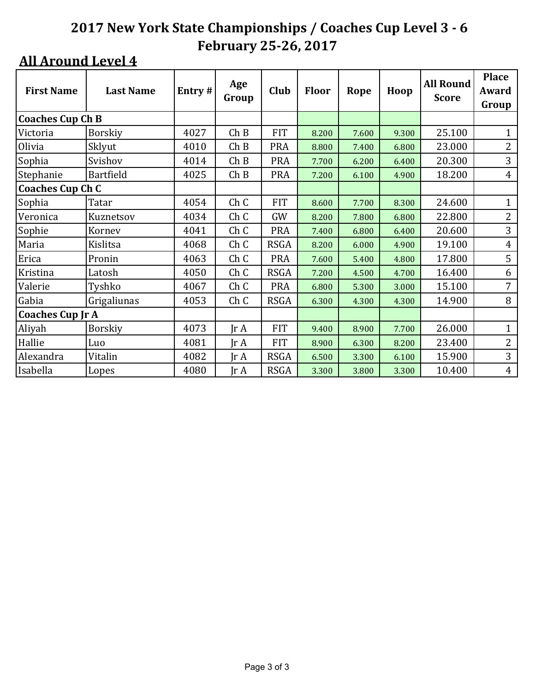| <b>First Name</b>       | <b>Last Name</b> | Entry# | Age<br>Group            | Club        | <b>Floor</b> | Rope  | Hoop  | <b>All Round</b><br><b>Score</b> | <b>Place</b><br>Award<br>Group |
|-------------------------|------------------|--------|-------------------------|-------------|--------------|-------|-------|----------------------------------|--------------------------------|
| <b>Coaches Cup Ch B</b> |                  |        |                         |             |              |       |       |                                  |                                |
| Victoria                | Borskiy          | 4027   | Ch B                    | <b>FIT</b>  | 8.200        | 7.600 | 9.300 | 25.100                           | $\mathbf{1}$                   |
| Olivia                  | Sklyut           | 4010   | Ch B                    | <b>PRA</b>  | 8.800        | 7.400 | 6.800 | 23.000                           | $\overline{2}$                 |
| Sophia                  | Svishov          | 4014   | Ch B                    | <b>PRA</b>  | 7.700        | 6.200 | 6.400 | 20.300                           | 3                              |
| Stephanie               | Bartfield        | 4025   | Ch B                    | <b>PRA</b>  | 7.200        | 6.100 | 4.900 | 18.200                           | $\overline{4}$                 |
| <b>Coaches Cup Ch C</b> |                  |        |                         |             |              |       |       |                                  |                                |
| Sophia                  | Tatar            | 4054   | Ch <sub>C</sub>         | <b>FIT</b>  | 8.600        | 7.700 | 8.300 | 24.600                           | $\mathbf{1}$                   |
| Veronica                | Kuznetsov        | 4034   | Ch C                    | GW          | 8.200        | 7.800 | 6.800 | 22.800                           | $\overline{2}$                 |
| Sophie                  | Kornev           | 4041   | ChC                     | <b>PRA</b>  | 7.400        | 6.800 | 6.400 | 20.600                           | 3                              |
| Maria                   | Kislitsa         | 4068   | Ch <sub>C</sub>         | <b>RSGA</b> | 8.200        | 6.000 | 4.900 | 19.100                           | $\overline{4}$                 |
| Erica                   | Pronin           | 4063   | Ch C                    | <b>PRA</b>  | 7.600        | 5.400 | 4.800 | 17.800                           | 5                              |
| Kristina                | Latosh           | 4050   | Ch C                    | <b>RSGA</b> | 7.200        | 4.500 | 4.700 | 16.400                           | 6                              |
| Valerie                 | Tyshko           | 4067   | ChC                     | <b>PRA</b>  | 6.800        | 5.300 | 3.000 | 15.100                           | 7                              |
| Gabia                   | Grigaliunas      | 4053   | ChC                     | <b>RSGA</b> | 6.300        | 4.300 | 4.300 | 14.900                           | 8                              |
| <b>Coaches Cup Jr A</b> |                  |        |                         |             |              |       |       |                                  |                                |
| Aliyah                  | Borskiy          | 4073   | $\text{Tr } \mathbf{A}$ | <b>FIT</b>  | 9.400        | 8.900 | 7.700 | 26.000                           | $\mathbf{1}$                   |
| Hallie                  | Luo              | 4081   | $\text{Tr } \mathbf{A}$ | <b>FIT</b>  | 8.900        | 6.300 | 8.200 | 23.400                           | $\overline{2}$                 |
| Alexandra               | Vitalin          | 4082   | JrA                     | <b>RSGA</b> | 6.500        | 3.300 | 6.100 | 15.900                           | 3                              |
| Isabella                | Lopes            | 4080   | $\text{Tr } \mathbf{A}$ | <b>RSGA</b> | 3.300        | 3.800 | 3.300 | 10.400                           | $\overline{4}$                 |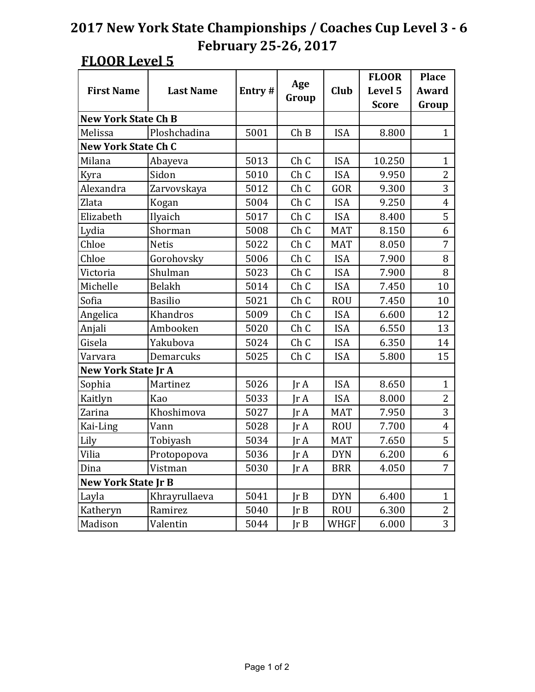|                            |                  |        |                         |             | <b>FLOOR</b> | <b>Place</b>   |
|----------------------------|------------------|--------|-------------------------|-------------|--------------|----------------|
| <b>First Name</b>          | <b>Last Name</b> | Entry# | Age                     | <b>Club</b> | Level 5      | Award          |
|                            |                  |        | Group                   |             | <b>Score</b> | Group          |
| <b>New York State Ch B</b> |                  |        |                         |             |              |                |
| Melissa                    | Ploshchadina     | 5001   | Ch B                    | <b>ISA</b>  | 8.800        | $\mathbf{1}$   |
| <b>New York State Ch C</b> |                  |        |                         |             |              |                |
| Milana                     | Abayeva          | 5013   | Ch <sub>C</sub>         | <b>ISA</b>  | 10.250       | $\mathbf{1}$   |
| Kyra                       | Sidon            | 5010   | ChC                     | <b>ISA</b>  | 9.950        | $\overline{2}$ |
| Alexandra                  | Zarvovskaya      | 5012   | Ch <sub>C</sub>         | GOR         | 9.300        | 3              |
| Zlata                      | Kogan            | 5004   | Ch <sub>C</sub>         | <b>ISA</b>  | 9.250        | $\overline{4}$ |
| Elizabeth                  | Ilyaich          | 5017   | ChC                     | <b>ISA</b>  | 8.400        | 5              |
| Lydia                      | Shorman          | 5008   | Ch <sub>C</sub>         | <b>MAT</b>  | 8.150        | 6              |
| Chloe                      | <b>Netis</b>     | 5022   | Ch <sub>C</sub>         | <b>MAT</b>  | 8.050        | $\overline{7}$ |
| Chloe                      | Gorohovsky       | 5006   | Ch <sub>C</sub>         | <b>ISA</b>  | 7.900        | 8              |
| Victoria                   | Shulman          | 5023   | Ch <sub>C</sub>         | <b>ISA</b>  | 7.900        | 8              |
| Michelle                   | <b>Belakh</b>    | 5014   | Ch <sub>C</sub>         | <b>ISA</b>  | 7.450        | 10             |
| Sofia                      | <b>Basilio</b>   | 5021   | Ch <sub>C</sub>         | <b>ROU</b>  | 7.450        | 10             |
| Angelica                   | Khandros         | 5009   | Ch <sub>C</sub>         | <b>ISA</b>  | 6.600        | 12             |
| Anjali                     | Ambooken         | 5020   | Ch <sub>C</sub>         | <b>ISA</b>  | 6.550        | 13             |
| Gisela                     | Yakubova         | 5024   | ChC                     | <b>ISA</b>  | 6.350        | 14             |
| Varvara                    | Demarcuks        | 5025   | Ch <sub>C</sub>         | <b>ISA</b>  | 5.800        | 15             |
| <b>New York State Jr A</b> |                  |        |                         |             |              |                |
| Sophia                     | Martinez         | 5026   | Ir A                    | <b>ISA</b>  | 8.650        | $\mathbf{1}$   |
| Kaitlyn                    | Kao              | 5033   | $\text{Ir } A$          | <b>ISA</b>  | 8.000        | $\overline{2}$ |
| Zarina                     | Khoshimova       | 5027   | $\text{Tr }A$           | <b>MAT</b>  | 7.950        | 3              |
| Kai-Ling                   | Vann             | 5028   | Ir A                    | <b>ROU</b>  | 7.700        | $\overline{4}$ |
| Lily                       | Tobiyash         | 5034   | $\text{Tr } \mathbf{A}$ | <b>MAT</b>  | 7.650        | 5              |
| Vilia                      | Protopopova      | 5036   | $\text{Tr }A$           | <b>DYN</b>  | 6.200        | 6              |
| Dina                       | Vistman          | 5030   | Jr A                    | <b>BRR</b>  | 4.050        | 7              |
| <b>New York State Jr B</b> |                  |        |                         |             |              |                |
| Layla                      | Khrayrullaeva    | 5041   | JrB                     | <b>DYN</b>  | 6.400        | $\mathbf{1}$   |
| Katheryn                   | Ramirez          | 5040   | JrB                     | <b>ROU</b>  | 6.300        | 2              |
| Madison                    | Valentin         | 5044   | JrB                     | <b>WHGF</b> | 6.000        | 3              |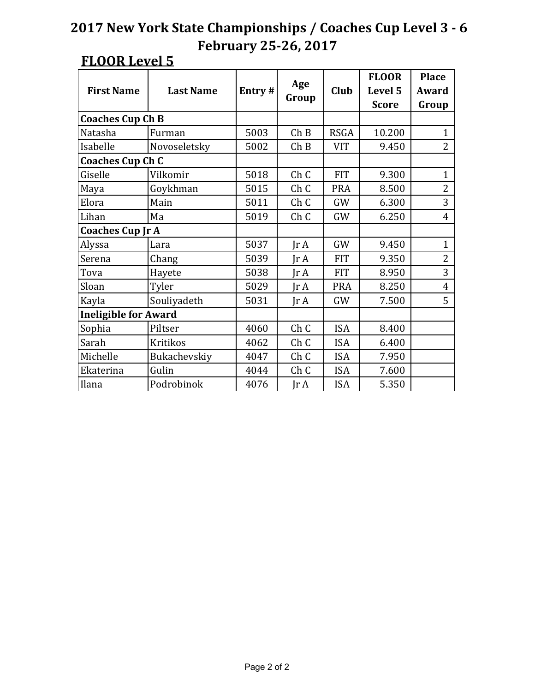|                             |                  |        |                 |             | <b>FLOOR</b> | <b>Place</b>   |
|-----------------------------|------------------|--------|-----------------|-------------|--------------|----------------|
| <b>First Name</b>           | <b>Last Name</b> | Entry# | Age             | Club        | Level 5      | Award          |
|                             |                  |        | Group           |             | <b>Score</b> | Group          |
| <b>Coaches Cup Ch B</b>     |                  |        |                 |             |              |                |
| Natasha                     | Furman           | 5003   | Ch B            | <b>RSGA</b> | 10.200       | $\mathbf{1}$   |
| Isabelle                    | Novoseletsky     | 5002   | Ch B            | <b>VIT</b>  | 9.450        | $\overline{2}$ |
| <b>Coaches Cup Ch C</b>     |                  |        |                 |             |              |                |
| Giselle                     | Vilkomir         | 5018   | Ch <sub>C</sub> | <b>FIT</b>  | 9.300        | $\mathbf{1}$   |
| Maya                        | Goykhman         | 5015   | Ch <sub>C</sub> | <b>PRA</b>  | 8.500        | $\overline{2}$ |
| Elora                       | Main             | 5011   | ChC             | GW          | 6.300        | 3              |
| Lihan                       | Ma               | 5019   | Ch <sub>C</sub> | GW          | 6.250        | $\overline{4}$ |
| <b>Coaches Cup Jr A</b>     |                  |        |                 |             |              |                |
| Alyssa                      | Lara             | 5037   | $\text{Tr }A$   | GW          | 9.450        | $\mathbf{1}$   |
| Serena                      | Chang            | 5039   | $\text{Ir } A$  | <b>FIT</b>  | 9.350        | $\overline{2}$ |
| Tova                        | Hayete           | 5038   | $\text{Ir } A$  | <b>FIT</b>  | 8.950        | 3              |
| Sloan                       | Tyler            | 5029   | Ir $A$          | <b>PRA</b>  | 8.250        | $\overline{4}$ |
| Kayla                       | Souliyadeth      | 5031   | $\text{Ir } A$  | GW          | 7.500        | 5              |
| <b>Ineligible for Award</b> |                  |        |                 |             |              |                |
| Sophia                      | Piltser          | 4060   | ChC             | <b>ISA</b>  | 8.400        |                |
| Sarah                       | <b>Kritikos</b>  | 4062   | Ch <sub>C</sub> | <b>ISA</b>  | 6.400        |                |
| Michelle                    | Bukachevskiy     | 4047   | ChC             | <b>ISA</b>  | 7.950        |                |
| Ekaterina                   | Gulin            | 4044   | ChC             | <b>ISA</b>  | 7.600        |                |
| Ilana                       | Podrobinok       | 4076   | $\text{Ir } A$  | <b>ISA</b>  | 5.350        |                |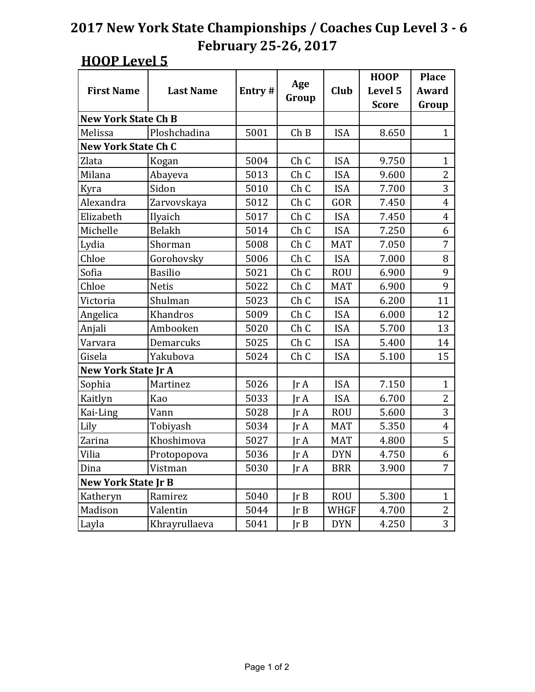|                            |                  |        |                 |            | <b>HOOP</b>  | <b>Place</b>   |
|----------------------------|------------------|--------|-----------------|------------|--------------|----------------|
| <b>First Name</b>          | <b>Last Name</b> | Entry# | Age             | Club       | Level 5      | Award          |
|                            |                  |        | Group           |            | <b>Score</b> | Group          |
| <b>New York State Ch B</b> |                  |        |                 |            |              |                |
| Melissa                    | Ploshchadina     | 5001   | Ch B            | <b>ISA</b> | 8.650        | $\mathbf{1}$   |
| <b>New York State Ch C</b> |                  |        |                 |            |              |                |
| Zlata                      | Kogan            | 5004   | Ch C            | <b>ISA</b> | 9.750        | $\mathbf{1}$   |
| Milana                     | Abayeva          | 5013   | Ch C            | <b>ISA</b> | 9.600        | $\overline{2}$ |
| Kyra                       | Sidon            | 5010   | Ch <sub>C</sub> | <b>ISA</b> | 7.700        | 3              |
| Alexandra                  | Zarvovskaya      | 5012   | Ch <sub>C</sub> | GOR        | 7.450        | $\overline{4}$ |
| Elizabeth                  | Ilyaich          | 5017   | Ch <sub>C</sub> | <b>ISA</b> | 7.450        | $\overline{4}$ |
| Michelle                   | <b>Belakh</b>    | 5014   | Ch <sub>C</sub> | <b>ISA</b> | 7.250        | 6              |
| Lydia                      | Shorman          | 5008   | Ch <sub>C</sub> | <b>MAT</b> | 7.050        | 7              |
| Chloe                      | Gorohovsky       | 5006   | Ch <sub>C</sub> | <b>ISA</b> | 7.000        | 8              |
| Sofia                      | <b>Basilio</b>   | 5021   | Ch <sub>C</sub> | <b>ROU</b> | 6.900        | 9              |
| Chloe                      | <b>Netis</b>     | 5022   | Ch <sub>C</sub> | <b>MAT</b> | 6.900        | 9              |
| Victoria                   | Shulman          | 5023   | Ch <sub>C</sub> | <b>ISA</b> | 6.200        | 11             |
| Angelica                   | Khandros         | 5009   | Ch <sub>C</sub> | <b>ISA</b> | 6.000        | 12             |
| Anjali                     | Ambooken         | 5020   | Ch <sub>C</sub> | <b>ISA</b> | 5.700        | 13             |
| Varvara                    | Demarcuks        | 5025   | Ch <sub>C</sub> | <b>ISA</b> | 5.400        | 14             |
| Gisela                     | Yakubova         | 5024   | Ch <sub>C</sub> | <b>ISA</b> | 5.100        | 15             |
| <b>New York State Jr A</b> |                  |        |                 |            |              |                |
| Sophia                     | Martinez         | 5026   | $\text{Tr }A$   | <b>ISA</b> | 7.150        | $\mathbf{1}$   |
| Kaitlyn                    | Kao              | 5033   | Ir A            | <b>ISA</b> | 6.700        | $\overline{2}$ |
| Kai-Ling                   | Vann             | 5028   | $\text{Tr }A$   | <b>ROU</b> | 5.600        | 3              |
| Lily                       | Tobiyash         | 5034   | Jr A            | <b>MAT</b> | 5.350        | $\overline{4}$ |
| Zarina                     | Khoshimova       | 5027   | Ir A            | <b>MAT</b> | 4.800        | 5              |
| Vilia                      | Protopopova      | 5036   | $\text{Tr }A$   | <b>DYN</b> | 4.750        | 6              |
| Dina                       | Vistman          | 5030   | JrA             | <b>BRR</b> | 3.900        | 7              |
| <b>New York State Jr B</b> |                  |        |                 |            |              |                |
| Katheryn                   | Ramirez          | 5040   | JrB             | <b>ROU</b> | 5.300        | $\mathbf{1}$   |
| Madison                    | Valentin         | 5044   | JrB             | WHGF       | 4.700        | $\overline{2}$ |
| Layla                      | Khrayrullaeva    | 5041   | Jr B            | <b>DYN</b> | 4.250        | 3              |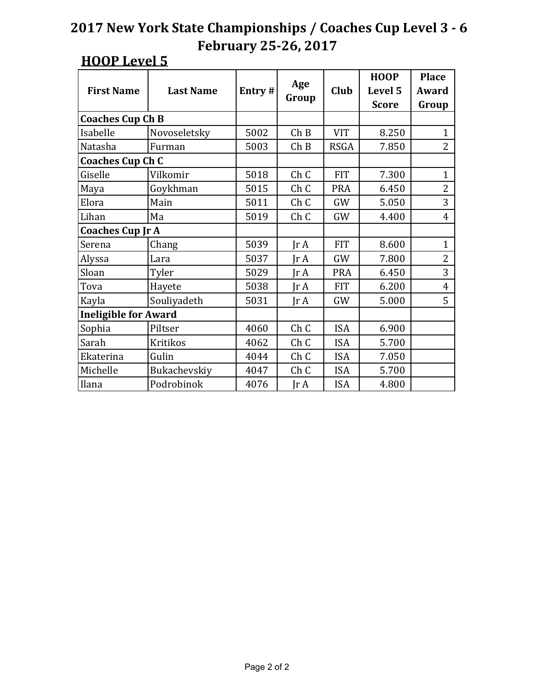|                             |                  |        |                 |             | <b>HOOP</b>  | <b>Place</b>   |
|-----------------------------|------------------|--------|-----------------|-------------|--------------|----------------|
| <b>First Name</b>           | <b>Last Name</b> | Entry# | Age             | Club        | Level 5      | Award          |
|                             |                  |        | Group           |             | <b>Score</b> | Group          |
| <b>Coaches Cup Ch B</b>     |                  |        |                 |             |              |                |
| Isabelle                    | Novoseletsky     | 5002   | Ch B            | <b>VIT</b>  | 8.250        | $\mathbf{1}$   |
| Natasha                     | Furman           | 5003   | Ch B            | <b>RSGA</b> | 7.850        | $\overline{2}$ |
| <b>Coaches Cup Ch C</b>     |                  |        |                 |             |              |                |
| Giselle                     | Vilkomir         | 5018   | Ch C            | <b>FIT</b>  | 7.300        | $\mathbf{1}$   |
| Maya                        | Goykhman         | 5015   | Ch <sub>C</sub> | <b>PRA</b>  | 6.450        | 2              |
| Elora                       | Main             | 5011   | Ch <sub>C</sub> | GW          | 5.050        | 3              |
| Lihan                       | Ma               | 5019   | Ch <sub>C</sub> | GW          | 4.400        | $\overline{4}$ |
| <b>Coaches Cup Jr A</b>     |                  |        |                 |             |              |                |
| Serena                      | Chang            | 5039   | IrA             | <b>FIT</b>  | 8.600        | $\mathbf{1}$   |
| Alyssa                      | Lara             | 5037   | IrA             | GW          | 7.800        | $\overline{2}$ |
| Sloan                       | Tyler            | 5029   | $\text{Ir } A$  | <b>PRA</b>  | 6.450        | 3              |
| Tova                        | Hayete           | 5038   | $\text{Ir } A$  | <b>FIT</b>  | 6.200        | 4              |
| Kayla                       | Souliyadeth      | 5031   | $\text{Tr }A$   | GW          | 5.000        | 5              |
| <b>Ineligible for Award</b> |                  |        |                 |             |              |                |
| Sophia                      | Piltser          | 4060   | Ch <sub>C</sub> | <b>ISA</b>  | 6.900        |                |
| Sarah                       | <b>Kritikos</b>  | 4062   | ChC             | <b>ISA</b>  | 5.700        |                |
| Ekaterina                   | Gulin            | 4044   | ChC             | <b>ISA</b>  | 7.050        |                |
| Michelle                    | Bukachevskiy     | 4047   | ChC             | <b>ISA</b>  | 5.700        |                |
| Ilana                       | Podrobinok       | 4076   | JrA             | <b>ISA</b>  | 4.800        |                |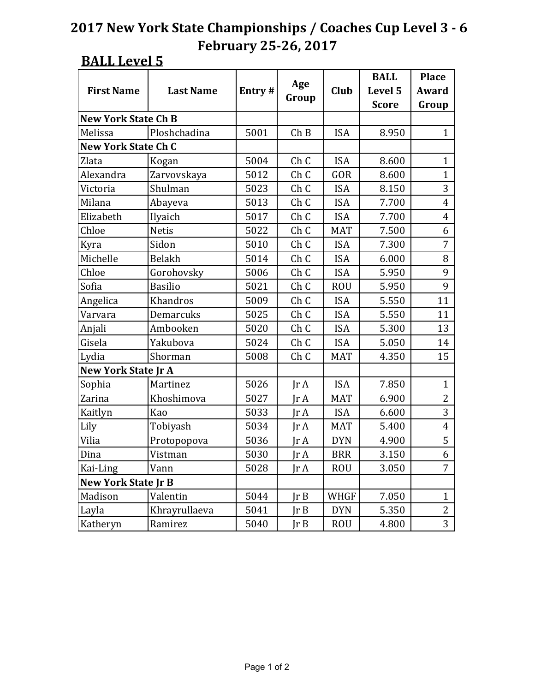#### **BALL Level 5**

|                            |                  |        |                 |             | <b>BALL</b>  | <b>Place</b>   |
|----------------------------|------------------|--------|-----------------|-------------|--------------|----------------|
| <b>First Name</b>          | <b>Last Name</b> | Entry# | Age             | <b>Club</b> | Level 5      | Award          |
|                            |                  |        | Group           |             | <b>Score</b> | Group          |
| <b>New York State Ch B</b> |                  |        |                 |             |              |                |
| Melissa                    | Ploshchadina     | 5001   | Ch B            | <b>ISA</b>  | 8.950        | $\mathbf{1}$   |
| <b>New York State Ch C</b> |                  |        |                 |             |              |                |
| Zlata                      | Kogan            | 5004   | Ch <sub>C</sub> | <b>ISA</b>  | 8.600        | $\mathbf{1}$   |
| Alexandra                  | Zarvovskaya      | 5012   | Ch <sub>C</sub> | GOR         | 8.600        | $\mathbf{1}$   |
| Victoria                   | Shulman          | 5023   | Ch <sub>C</sub> | <b>ISA</b>  | 8.150        | 3              |
| Milana                     | Abayeva          | 5013   | Ch <sub>C</sub> | <b>ISA</b>  | 7.700        | $\overline{4}$ |
| Elizabeth                  | Ilyaich          | 5017   | Ch <sub>C</sub> | <b>ISA</b>  | 7.700        | $\overline{4}$ |
| Chloe                      | <b>Netis</b>     | 5022   | Ch <sub>C</sub> | <b>MAT</b>  | 7.500        | 6              |
| Kyra                       | Sidon            | 5010   | Ch <sub>C</sub> | <b>ISA</b>  | 7.300        | 7              |
| Michelle                   | <b>Belakh</b>    | 5014   | Ch <sub>C</sub> | <b>ISA</b>  | 6.000        | 8              |
| Chloe                      | Gorohovsky       | 5006   | Ch <sub>C</sub> | <b>ISA</b>  | 5.950        | 9              |
| Sofia                      | <b>Basilio</b>   | 5021   | Ch <sub>C</sub> | <b>ROU</b>  | 5.950        | 9              |
| Angelica                   | Khandros         | 5009   | Ch <sub>C</sub> | <b>ISA</b>  | 5.550        | 11             |
| Varvara                    | Demarcuks        | 5025   | Ch <sub>C</sub> | <b>ISA</b>  | 5.550        | 11             |
| Anjali                     | Ambooken         | 5020   | Ch <sub>C</sub> | <b>ISA</b>  | 5.300        | 13             |
| Gisela                     | Yakubova         | 5024   | ChC             | <b>ISA</b>  | 5.050        | 14             |
| Lydia                      | Shorman          | 5008   | Ch <sub>C</sub> | <b>MAT</b>  | 4.350        | 15             |
| <b>New York State Jr A</b> |                  |        |                 |             |              |                |
| Sophia                     | Martinez         | 5026   | Ir A            | <b>ISA</b>  | 7.850        | $\mathbf{1}$   |
| Zarina                     | Khoshimova       | 5027   | Ir A            | <b>MAT</b>  | 6.900        | 2              |
| Kaitlyn                    | Kao              | 5033   | $\text{Tr }A$   | <b>ISA</b>  | 6.600        | 3              |
| Lily                       | Tobiyash         | 5034   | Ir A            | <b>MAT</b>  | 5.400        | $\overline{4}$ |
| Vilia                      | Protopopova      | 5036   | Jr A            | <b>DYN</b>  | 4.900        | 5              |
| Dina                       | Vistman          | 5030   | $\text{Tr }A$   | <b>BRR</b>  | 3.150        | 6              |
| Kai-Ling                   | Vann             | 5028   | Jr A            | <b>ROU</b>  | 3.050        | 7              |
| <b>New York State Jr B</b> |                  |        |                 |             |              |                |
| Madison                    | Valentin         | 5044   | JrB             | WHGF        | 7.050        | $\mathbf{1}$   |
| Layla                      | Khrayrullaeva    | 5041   | JrB             | <b>DYN</b>  | 5.350        | $\overline{2}$ |
| Katheryn                   | Ramirez          | 5040   | JrB             | <b>ROU</b>  | 4.800        | 3              |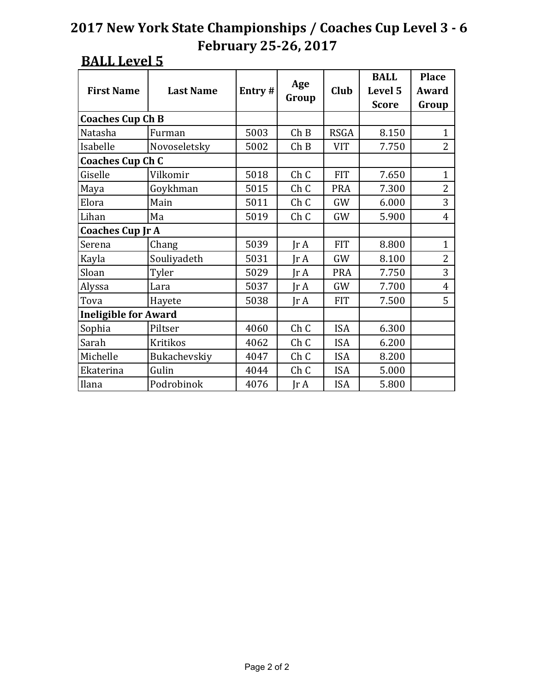#### **BALL Level 5**

| <b>First Name</b>           | <b>Last Name</b> | Entry# | Age                     | Club        | <b>BALL</b><br>Level 5 | <b>Place</b><br>Award |
|-----------------------------|------------------|--------|-------------------------|-------------|------------------------|-----------------------|
|                             |                  |        | Group                   |             | <b>Score</b>           | Group                 |
| <b>Coaches Cup Ch B</b>     |                  |        |                         |             |                        |                       |
| Natasha                     | Furman           | 5003   | Ch B                    | <b>RSGA</b> | 8.150                  | $\mathbf{1}$          |
| Isabelle                    | Novoseletsky     | 5002   | Ch B                    | <b>VIT</b>  | 7.750                  | $\overline{2}$        |
| <b>Coaches Cup Ch C</b>     |                  |        |                         |             |                        |                       |
| Giselle                     | Vilkomir         | 5018   | ChC                     | <b>FIT</b>  | 7.650                  | $\mathbf{1}$          |
| Maya                        | Goykhman         | 5015   | Ch <sub>C</sub>         | <b>PRA</b>  | 7.300                  | $\overline{2}$        |
| Elora                       | Main             | 5011   | Ch <sub>C</sub>         | GW          | 6.000                  | 3                     |
| Lihan                       | Ma               | 5019   | ChC                     | GW          | 5.900                  | $\overline{4}$        |
| <b>Coaches Cup Jr A</b>     |                  |        |                         |             |                        |                       |
| Serena                      | Chang            | 5039   | $\text{Ir } A$          | <b>FIT</b>  | 8.800                  | $\mathbf{1}$          |
| Kayla                       | Souliyadeth      | 5031   | IrA                     | GW          | 8.100                  | $\overline{2}$        |
| Sloan                       | Tyler            | 5029   | $\text{Tr } \mathbf{A}$ | <b>PRA</b>  | 7.750                  | 3                     |
| Alyssa                      | Lara             | 5037   | $\text{Ir } A$          | GW          | 7.700                  | $\overline{4}$        |
| Tova                        | Hayete           | 5038   | $\text{Ir } A$          | <b>FIT</b>  | 7.500                  | 5                     |
| <b>Ineligible for Award</b> |                  |        |                         |             |                        |                       |
| Sophia                      | Piltser          | 4060   | Ch <sub>C</sub>         | <b>ISA</b>  | 6.300                  |                       |
| Sarah                       | <b>Kritikos</b>  | 4062   | ChC                     | <b>ISA</b>  | 6.200                  |                       |
| Michelle                    | Bukachevskiy     | 4047   | ChC                     | <b>ISA</b>  | 8.200                  |                       |
| Ekaterina                   | Gulin            | 4044   | Ch <sub>C</sub>         | <b>ISA</b>  | 5.000                  |                       |
| Ilana                       | Podrobinok       | 4076   | JrA                     | <b>ISA</b>  | 5.800                  |                       |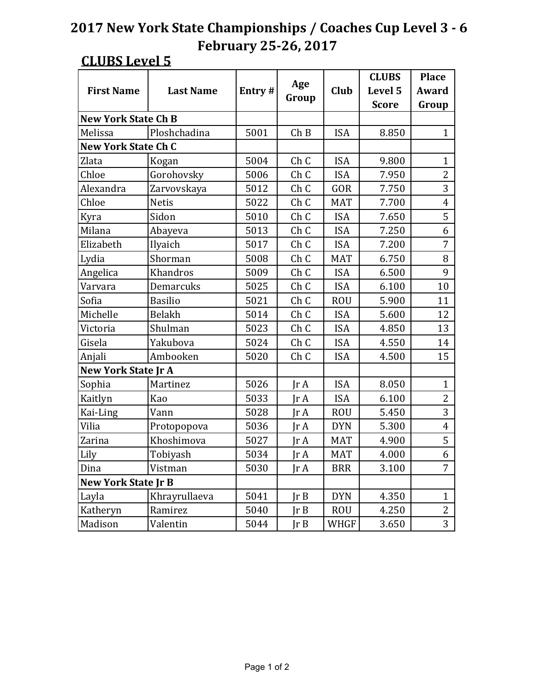### **CLUBS Level 5**

|                            |                  |        |                 |             | <b>CLUBS</b> | <b>Place</b>   |
|----------------------------|------------------|--------|-----------------|-------------|--------------|----------------|
| <b>First Name</b>          | <b>Last Name</b> | Entry# | Age             | <b>Club</b> | Level 5      | Award          |
|                            |                  |        | Group           |             | <b>Score</b> | Group          |
| <b>New York State Ch B</b> |                  |        |                 |             |              |                |
| Melissa                    | Ploshchadina     | 5001   | ChB             | <b>ISA</b>  | 8.850        | 1              |
| <b>New York State Ch C</b> |                  |        |                 |             |              |                |
| Zlata                      | Kogan            | 5004   | Ch <sub>C</sub> | <b>ISA</b>  | 9.800        | $\mathbf{1}$   |
| Chloe                      | Gorohovsky       | 5006   | Ch <sub>C</sub> | <b>ISA</b>  | 7.950        | $\overline{2}$ |
| Alexandra                  | Zarvovskaya      | 5012   | Ch C            | GOR         | 7.750        | 3              |
| Chloe                      | <b>Netis</b>     | 5022   | Ch <sub>C</sub> | <b>MAT</b>  | 7.700        | $\overline{4}$ |
| Kyra                       | Sidon            | 5010   | Ch <sub>C</sub> | <b>ISA</b>  | 7.650        | 5              |
| Milana                     | Abayeva          | 5013   | Ch <sub>C</sub> | <b>ISA</b>  | 7.250        | 6              |
| Elizabeth                  | Ilyaich          | 5017   | Ch <sub>C</sub> | <b>ISA</b>  | 7.200        | 7              |
| Lydia                      | Shorman          | 5008   | Ch <sub>C</sub> | <b>MAT</b>  | 6.750        | 8              |
| Angelica                   | Khandros         | 5009   | Ch <sub>C</sub> | <b>ISA</b>  | 6.500        | 9              |
| Varvara                    | Demarcuks        | 5025   | Ch <sub>C</sub> | <b>ISA</b>  | 6.100        | 10             |
| Sofia                      | <b>Basilio</b>   | 5021   | Ch <sub>C</sub> | <b>ROU</b>  | 5.900        | 11             |
| Michelle                   | <b>Belakh</b>    | 5014   | Ch <sub>C</sub> | <b>ISA</b>  | 5.600        | 12             |
| Victoria                   | Shulman          | 5023   | Ch <sub>C</sub> | <b>ISA</b>  | 4.850        | 13             |
| Gisela                     | Yakubova         | 5024   | Ch <sub>C</sub> | <b>ISA</b>  | 4.550        | 14             |
| Anjali                     | Ambooken         | 5020   | Ch <sub>C</sub> | <b>ISA</b>  | 4.500        | 15             |
| <b>New York State Jr A</b> |                  |        |                 |             |              |                |
| Sophia                     | Martinez         | 5026   | $\text{Tr }A$   | <b>ISA</b>  | 8.050        | $\mathbf{1}$   |
| Kaitlyn                    | Kao              | 5033   | $\text{Ir } A$  | <b>ISA</b>  | 6.100        | $\overline{2}$ |
| Kai-Ling                   | Vann             | 5028   | $\text{Tr }A$   | <b>ROU</b>  | 5.450        | 3              |
| Vilia                      | Protopopova      | 5036   | $\text{Tr }A$   | <b>DYN</b>  | 5.300        | $\overline{4}$ |
| Zarina                     | Khoshimova       | 5027   | $\text{Ir } A$  | <b>MAT</b>  | 4.900        | 5              |
| Lily                       | Tobiyash         | 5034   | $\text{Tr }A$   | <b>MAT</b>  | 4.000        | 6              |
| Dina                       | Vistman          | 5030   | JrA             | <b>BRR</b>  | 3.100        | 7              |
| <b>New York State Jr B</b> |                  |        |                 |             |              |                |
| Layla                      | Khrayrullaeva    | 5041   | JrB             | <b>DYN</b>  | 4.350        | $\mathbf{1}$   |
| Katheryn                   | Ramirez          | 5040   | JrB             | <b>ROU</b>  | 4.250        | 2              |
| Madison                    | Valentin         | 5044   | Ir B            | WHGF        | 3.650        | 3              |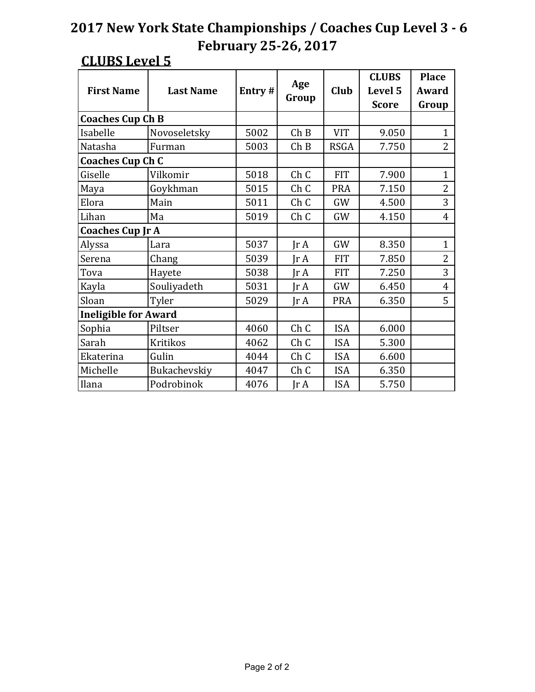### **CLUBS Level 5**

|                             |                  |        |                         |             | <b>CLUBS</b> | <b>Place</b>   |
|-----------------------------|------------------|--------|-------------------------|-------------|--------------|----------------|
| <b>First Name</b>           | <b>Last Name</b> | Entry# | Age                     | Club        | Level 5      | Award          |
|                             |                  |        | Group                   |             | <b>Score</b> | Group          |
| <b>Coaches Cup Ch B</b>     |                  |        |                         |             |              |                |
| Isabelle                    | Novoseletsky     | 5002   | Ch B                    | <b>VIT</b>  | 9.050        | $\mathbf{1}$   |
| Natasha                     | Furman           | 5003   | Ch B                    | <b>RSGA</b> | 7.750        | $\overline{2}$ |
| <b>Coaches Cup Ch C</b>     |                  |        |                         |             |              |                |
| Giselle                     | Vilkomir         | 5018   | ChC                     | <b>FIT</b>  | 7.900        | $\mathbf{1}$   |
| Maya                        | Goykhman         | 5015   | Ch <sub>C</sub>         | <b>PRA</b>  | 7.150        | $\overline{2}$ |
| Elora                       | Main             | 5011   | ChC                     | GW          | 4.500        | 3              |
| Lihan                       | Ma               | 5019   | ChC                     | GW          | 4.150        | $\overline{4}$ |
| <b>Coaches Cup Jr A</b>     |                  |        |                         |             |              |                |
| Alyssa                      | Lara             | 5037   | $\text{Ir } A$          | GW          | 8.350        | $\mathbf{1}$   |
| Serena                      | Chang            | 5039   | $\text{Tr }A$           | <b>FIT</b>  | 7.850        | $\overline{2}$ |
| Tova                        | Hayete           | 5038   | $\text{Tr } \mathbf{A}$ | <b>FIT</b>  | 7.250        | 3              |
| Kayla                       | Souliyadeth      | 5031   | Ir A                    | GW          | 6.450        | $\overline{4}$ |
| Sloan                       | Tyler            | 5029   | IrA                     | <b>PRA</b>  | 6.350        | 5              |
| <b>Ineligible for Award</b> |                  |        |                         |             |              |                |
| Sophia                      | Piltser          | 4060   | Ch <sub>C</sub>         | <b>ISA</b>  | 6.000        |                |
| Sarah                       | <b>Kritikos</b>  | 4062   | ChC                     | <b>ISA</b>  | 5.300        |                |
| Ekaterina                   | Gulin            | 4044   | ChC                     | <b>ISA</b>  | 6.600        |                |
| Michelle                    | Bukachevskiy     | 4047   | Ch <sub>C</sub>         | <b>ISA</b>  | 6.350        |                |
| Ilana                       | Podrobinok       | 4076   | $\text{Ir } A$          | <b>ISA</b>  | 5.750        |                |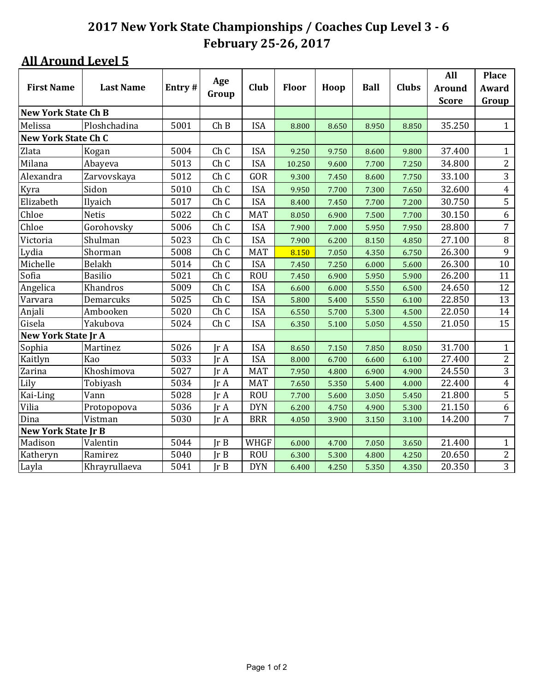|                            |                  |        | Age                          |            |              |       |             |              | All           | <b>Place</b>   |
|----------------------------|------------------|--------|------------------------------|------------|--------------|-------|-------------|--------------|---------------|----------------|
| <b>First Name</b>          | <b>Last Name</b> | Entry# |                              | Club       | <b>Floor</b> | Hoop  | <b>Ball</b> | <b>Clubs</b> | <b>Around</b> | Award          |
|                            |                  |        | Group                        |            |              |       |             |              | <b>Score</b>  | Group          |
| <b>New York State Ch B</b> |                  |        |                              |            |              |       |             |              |               |                |
| Melissa                    | Ploshchadina     | 5001   | Ch B                         | <b>ISA</b> | 8.800        | 8.650 | 8.950       | 8.850        | 35.250        | $\mathbf{1}$   |
| <b>New York State Ch C</b> |                  |        |                              |            |              |       |             |              |               |                |
| Zlata                      | Kogan            | 5004   | Ch <sub>C</sub>              | <b>ISA</b> | 9.250        | 9.750 | 8.600       | 9.800        | 37.400        | $\mathbf{1}$   |
| Milana                     | Abayeva          | 5013   | Ch C                         | <b>ISA</b> | 10.250       | 9.600 | 7.700       | 7.250        | 34.800        | $\overline{c}$ |
| Alexandra                  | Zarvovskaya      | 5012   | Ch C                         | GOR        | 9.300        | 7.450 | 8.600       | 7.750        | 33.100        | 3              |
| Kyra                       | Sidon            | 5010   | Ch C                         | <b>ISA</b> | 9.950        | 7.700 | 7.300       | 7.650        | 32.600        | $\overline{4}$ |
| Elizabeth                  | Ilyaich          | 5017   | Ch C                         | <b>ISA</b> | 8.400        | 7.450 | 7.700       | 7.200        | 30.750        | 5              |
| Chloe                      | <b>Netis</b>     | 5022   | Ch C                         | <b>MAT</b> | 8.050        | 6.900 | 7.500       | 7.700        | 30.150        | 6              |
| Chloe                      | Gorohovsky       | 5006   | Ch C                         | <b>ISA</b> | 7.900        | 7.000 | 5.950       | 7.950        | 28.800        | $\overline{7}$ |
| Victoria                   | Shulman          | 5023   | Ch C                         | <b>ISA</b> | 7.900        | 6.200 | 8.150       | 4.850        | 27.100        | $\, 8$         |
| Lydia                      | Shorman          | 5008   | Ch C                         | <b>MAT</b> | 8.150        | 7.050 | 4.350       | 6.750        | 26.300        | 9              |
| Michelle                   | Belakh           | 5014   | Ch C                         | <b>ISA</b> | 7.450        | 7.250 | 6.000       | 5.600        | 26.300        | 10             |
| Sofia                      | <b>Basilio</b>   | 5021   | Ch C                         | <b>ROU</b> | 7.450        | 6.900 | 5.950       | 5.900        | 26.200        | 11             |
| Angelica                   | Khandros         | 5009   | Ch C                         | <b>ISA</b> | 6.600        | 6.000 | 5.550       | 6.500        | 24.650        | 12             |
| Varvara                    | Demarcuks        | 5025   | Ch C                         | <b>ISA</b> | 5.800        | 5.400 | 5.550       | 6.100        | 22.850        | 13             |
| Anjali                     | Ambooken         | 5020   | Ch C                         | <b>ISA</b> | 6.550        | 5.700 | 5.300       | 4.500        | 22.050        | 14             |
| Gisela                     | Yakubova         | 5024   | Ch C                         | <b>ISA</b> | 6.350        | 5.100 | 5.050       | 4.550        | 21.050        | 15             |
| <b>New York State Jr A</b> |                  |        |                              |            |              |       |             |              |               |                |
| Sophia                     | Martinez         | 5026   | $\mathop{\rm Ir}\nolimits$ A | <b>ISA</b> | 8.650        | 7.150 | 7.850       | 8.050        | 31.700        | $\mathbf{1}$   |
| Kaitlyn                    | Kao              | 5033   | Ir A                         | <b>ISA</b> | 8.000        | 6.700 | 6.600       | 6.100        | 27.400        | $\overline{2}$ |
| Zarina                     | Khoshimova       | 5027   | Ir A                         | <b>MAT</b> | 7.950        | 4.800 | 6.900       | 4.900        | 24.550        | 3              |
| Lily                       | Tobiyash         | 5034   | Jr A                         | <b>MAT</b> | 7.650        | 5.350 | 5.400       | 4.000        | 22.400        | $\overline{4}$ |
| Kai-Ling                   | Vann             | 5028   | Jr A                         | <b>ROU</b> | 7.700        | 5.600 | 3.050       | 5.450        | 21.800        | $\overline{5}$ |
| Vilia                      | Protopopova      | 5036   | Jr A                         | <b>DYN</b> | 6.200        | 4.750 | 4.900       | 5.300        | 21.150        | $\overline{6}$ |
| Dina                       | Vistman          | 5030   | Jr A                         | <b>BRR</b> | 4.050        | 3.900 | 3.150       | 3.100        | 14.200        | $\overline{7}$ |
| <b>New York State Jr B</b> |                  |        |                              |            |              |       |             |              |               |                |
| Madison                    | Valentin         | 5044   | Ir B                         | WHGF       | 6.000        | 4.700 | 7.050       | 3.650        | 21.400        | $\mathbf{1}$   |
| Katheryn                   | Ramirez          | 5040   | Ir B                         | <b>ROU</b> | 6.300        | 5.300 | 4.800       | 4.250        | 20.650        | $\mathbf{2}$   |
| Layla                      | Khrayrullaeva    | 5041   | Ir B                         | <b>DYN</b> | 6.400        | 4.250 | 5.350       | 4.350        | 20.350        | $\overline{3}$ |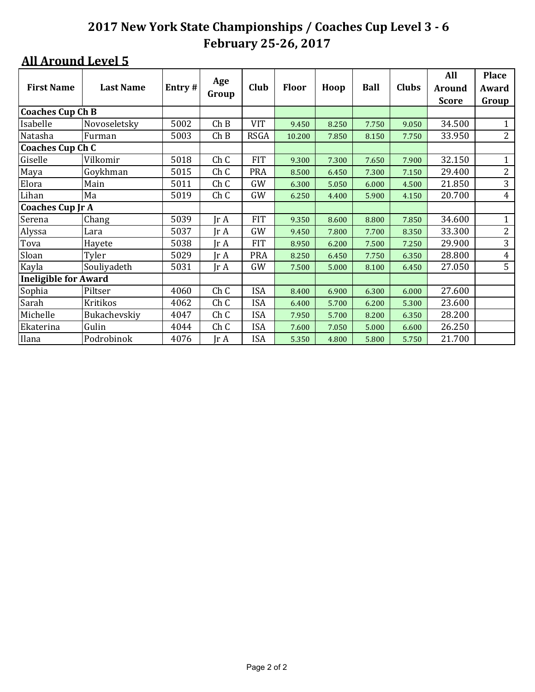|                             |                  |        |                         |             |        |       |             |              | All           | <b>Place</b>   |
|-----------------------------|------------------|--------|-------------------------|-------------|--------|-------|-------------|--------------|---------------|----------------|
| <b>First Name</b>           | <b>Last Name</b> | Entry# | Age                     | Club        | Floor  | Hoop  | <b>Ball</b> | <b>Clubs</b> | <b>Around</b> | Award          |
|                             |                  |        | Group                   |             |        |       |             |              | <b>Score</b>  | Group          |
| <b>Coaches Cup Ch B</b>     |                  |        |                         |             |        |       |             |              |               |                |
| Isabelle                    | Novoseletsky     | 5002   | Ch B                    | <b>VIT</b>  | 9.450  | 8.250 | 7.750       | 9.050        | 34.500        |                |
| Natasha                     | Furman           | 5003   | Ch B                    | <b>RSGA</b> | 10.200 | 7.850 | 8.150       | 7.750        | 33.950        | $\overline{2}$ |
| <b>Coaches Cup Ch C</b>     |                  |        |                         |             |        |       |             |              |               |                |
| Giselle                     | Vilkomir         | 5018   | Ch <sub>C</sub>         | <b>FIT</b>  | 9.300  | 7.300 | 7.650       | 7.900        | 32.150        | $\mathbf{1}$   |
| Maya                        | Goykhman         | 5015   | Ch C                    | <b>PRA</b>  | 8.500  | 6.450 | 7.300       | 7.150        | 29.400        | $\overline{c}$ |
| Elora                       | Main             | 5011   | Ch <sub>C</sub>         | GW          | 6.300  | 5.050 | 6.000       | 4.500        | 21.850        | 3              |
| Lihan                       | Ma               | 5019   | Ch <sub>C</sub>         | GW          | 6.250  | 4.400 | 5.900       | 4.150        | 20.700        | $\overline{4}$ |
| <b>Coaches Cup Jr A</b>     |                  |        |                         |             |        |       |             |              |               |                |
| Serena                      | Chang            | 5039   | Jr A                    | <b>FIT</b>  | 9.350  | 8.600 | 8.800       | 7.850        | 34.600        | 1              |
| Alyssa                      | Lara             | 5037   | Jr A                    | GW          | 9.450  | 7.800 | 7.700       | 8.350        | 33.300        | $\overline{2}$ |
| Tova                        | Hayete           | 5038   | Jr A                    | <b>FIT</b>  | 8.950  | 6.200 | 7.500       | 7.250        | 29.900        | 3              |
| Sloan                       | Tyler            | 5029   | Jr A                    | <b>PRA</b>  | 8.250  | 6.450 | 7.750       | 6.350        | 28.800        | $\overline{4}$ |
| Kayla                       | Souliyadeth      | 5031   | $\text{Tr } \mathbf{A}$ | GW          | 7.500  | 5.000 | 8.100       | 6.450        | 27.050        | 5              |
| <b>Ineligible for Award</b> |                  |        |                         |             |        |       |             |              |               |                |
| Sophia                      | Piltser          | 4060   | Ch C                    | <b>ISA</b>  | 8.400  | 6.900 | 6.300       | 6.000        | 27.600        |                |
| Sarah                       | Kritikos         | 4062   | Ch <sub>C</sub>         | <b>ISA</b>  | 6.400  | 5.700 | 6.200       | 5.300        | 23.600        |                |
| Michelle                    | Bukachevskiy     | 4047   | Ch <sub>C</sub>         | <b>ISA</b>  | 7.950  | 5.700 | 8.200       | 6.350        | 28.200        |                |
| Ekaterina                   | Gulin            | 4044   | Ch <sub>C</sub>         | <b>ISA</b>  | 7.600  | 7.050 | 5.000       | 6.600        | 26.250        |                |
| Ilana                       | Podrobinok       | 4076   | Jr A                    | <b>ISA</b>  | 5.350  | 4.800 | 5.800       | 5.750        | 21.700        |                |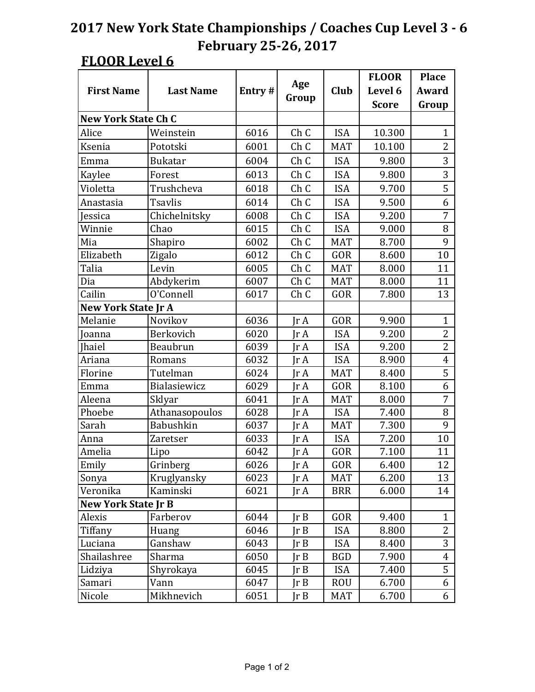|                            |                  |        |                 |            | <b>FLOOR</b> | <b>Place</b>   |
|----------------------------|------------------|--------|-----------------|------------|--------------|----------------|
| <b>First Name</b>          | <b>Last Name</b> | Entry# | Age             | Club       | Level 6      | Award          |
|                            |                  |        | Group           |            | <b>Score</b> | Group          |
| <b>New York State Ch C</b> |                  |        |                 |            |              |                |
| Alice                      | Weinstein        | 6016   | Ch <sub>C</sub> | <b>ISA</b> | 10.300       | 1              |
| Ksenia                     | Pototski         | 6001   | Ch <sub>C</sub> | <b>MAT</b> | 10.100       | $\overline{2}$ |
| Emma                       | <b>Bukatar</b>   | 6004   | Ch <sub>C</sub> | <b>ISA</b> | 9.800        | 3              |
| Kaylee                     | Forest           | 6013   | Ch <sub>C</sub> | <b>ISA</b> | 9.800        | 3              |
| Violetta                   | Trushcheva       | 6018   | Ch <sub>C</sub> | <b>ISA</b> | 9.700        | 5              |
| Anastasia                  | <b>Tsavlis</b>   | 6014   | Ch <sub>C</sub> | <b>ISA</b> | 9.500        | 6              |
| Jessica                    | Chichelnitsky    | 6008   | ChC             | <b>ISA</b> | 9.200        | 7              |
| Winnie                     | Chao             | 6015   | Ch <sub>C</sub> | <b>ISA</b> | 9.000        | 8              |
| Mia                        | Shapiro          | 6002   | Ch <sub>C</sub> | <b>MAT</b> | 8.700        | 9              |
| Elizabeth                  | Zigalo           | 6012   | Ch <sub>C</sub> | GOR        | 8.600        | 10             |
| Talia                      | Levin            | 6005   | Ch <sub>C</sub> | <b>MAT</b> | 8.000        | 11             |
| Dia                        | Abdykerim        | 6007   | Ch <sub>C</sub> | <b>MAT</b> | 8.000        | 11             |
| Cailin                     | O'Connell        | 6017   | Ch <sub>C</sub> | GOR        | 7.800        | 13             |
| New York State Jr A        |                  |        |                 |            |              |                |
| Melanie                    | Novikov          | 6036   | $\text{Tr }A$   | GOR        | 9.900        | $\mathbf{1}$   |
| Joanna                     | Berkovich        | 6020   | $\text{Tr }A$   | <b>ISA</b> | 9.200        | $\overline{2}$ |
| <b>Ihaiel</b>              | Beaubrun         | 6039   | $\text{Tr }A$   | <b>ISA</b> | 9.200        | $\overline{2}$ |
| Ariana                     | Romans           | 6032   | $\text{Tr }A$   | <b>ISA</b> | 8.900        | $\overline{4}$ |
| Florine                    | Tutelman         | 6024   | $\text{Tr }A$   | <b>MAT</b> | 8.400        | $\overline{5}$ |
| Emma                       | Bialasiewicz     | 6029   | $\text{Tr }A$   | GOR        | 8.100        | 6              |
| Aleena                     | Sklyar           | 6041   | Ir A            | <b>MAT</b> | 8.000        | 7              |
| Phoebe                     | Athanasopoulos   | 6028   | Ir A            | <b>ISA</b> | 7.400        | 8              |
| Sarah                      | <b>Babushkin</b> | 6037   | $\text{Tr }A$   | <b>MAT</b> | 7.300        | 9              |
| Anna                       | Zaretser         | 6033   | $\text{Tr }A$   | <b>ISA</b> | 7.200        | 10             |
| Amelia                     | Lipo             | 6042   | $\text{Tr }A$   | GOR        | 7.100        | 11             |
| Emily                      | Grinberg         | 6026   | JrA             | GOR        | 6.400        | 12             |
| Sonya                      | Kruglyansky      | 6023   | Jr A            | <b>MAT</b> | 6.200        | 13             |
| Veronika                   | Kaminski         | 6021   | JrA             | <b>BRR</b> | 6.000        | 14             |
| <b>New York State Jr B</b> |                  |        |                 |            |              |                |
| Alexis                     | Farberov         | 6044   | JrB             | GOR        | 9.400        | $\mathbf{1}$   |
| Tiffany                    | Huang            | 6046   | Ir B            | <b>ISA</b> | 8.800        | $\overline{2}$ |
| Luciana                    | Ganshaw          | 6043   | Ir B            | <b>ISA</b> | 8.400        | 3              |
| Shailashree                | Sharma           | 6050   | $\text{Ir }B$   | <b>BGD</b> | 7.900        | $\overline{4}$ |
| Lidziya                    | Shyrokaya        | 6045   | Ir B            | <b>ISA</b> | 7.400        | 5              |
| Samari                     | Vann             | 6047   | $\text{Ir }B$   | <b>ROU</b> | 6.700        | 6              |
| Nicole                     | Mikhnevich       | 6051   | JrB             | <b>MAT</b> | 6.700        | 6              |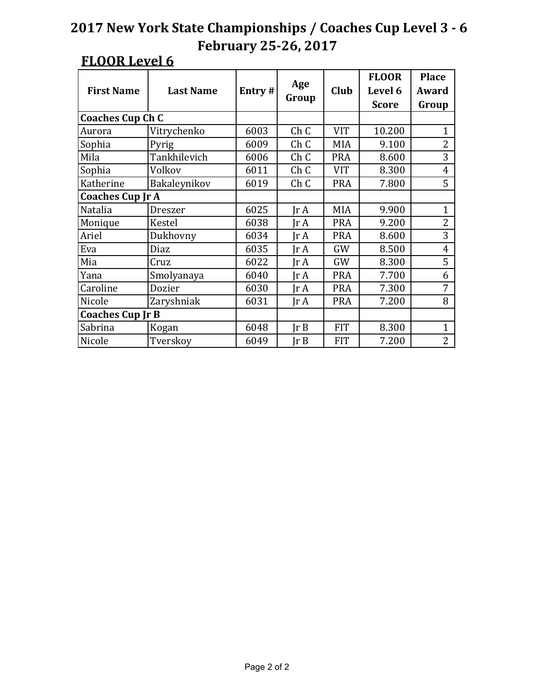| <b>First Name</b>       | <b>Last Name</b>        | Entry# | Age<br>Group    | <b>Club</b> | <b>FLOOR</b><br>Level 6<br><b>Score</b> | <b>Place</b><br>Award<br>Group |
|-------------------------|-------------------------|--------|-----------------|-------------|-----------------------------------------|--------------------------------|
| <b>Coaches Cup Ch C</b> |                         |        |                 |             |                                         |                                |
| Aurora                  | Vitrychenko             | 6003   | ChC             | <b>VIT</b>  | 10.200                                  | $\mathbf{1}$                   |
| Sophia                  | Pyrig                   | 6009   | ChC             | <b>MIA</b>  | 9.100                                   | $\overline{2}$                 |
| Mila                    | Tankhilevich            | 6006   | Ch <sub>C</sub> | <b>PRA</b>  | 8.600                                   | 3                              |
| Sophia                  | Volkov                  | 6011   | ChC             | <b>VIT</b>  | 8.300                                   | $\overline{4}$                 |
| Katherine               | Bakaleynikov            | 6019   | ChC             | <b>PRA</b>  | 7.800                                   | 5                              |
|                         | <b>Coaches Cup Jr A</b> |        |                 |             |                                         |                                |
| Natalia                 | <b>Dreszer</b>          | 6025   | Ir A            | <b>MIA</b>  | 9.900                                   | $\mathbf{1}$                   |
| Monique                 | Kestel                  | 6038   | Ir A            | <b>PRA</b>  | 9.200                                   | $\overline{2}$                 |
| Ariel                   | Dukhovny                | 6034   | Jr A            | <b>PRA</b>  | 8.600                                   | 3                              |
| Eva                     | Diaz                    | 6035   | Jr A            | GW          | 8.500                                   | $\overline{4}$                 |
| Mia                     | Cruz                    | 6022   | Ir A            | GW          | 8.300                                   | 5                              |
| Yana                    | Smolyanaya              | 6040   | Ir A            | <b>PRA</b>  | 7.700                                   | 6                              |
| Caroline                | Dozier                  | 6030   | Jr A            | <b>PRA</b>  | 7.300                                   | 7                              |
| Nicole                  | Zaryshniak              | 6031   | Jr A            | <b>PRA</b>  | 7.200                                   | 8                              |
| <b>Coaches Cup Jr B</b> |                         |        |                 |             |                                         |                                |
| Sabrina                 | Kogan                   | 6048   | Ir B            | <b>FIT</b>  | 8.300                                   | 1                              |
| Nicole                  | Tverskoy                | 6049   | Ir B            | <b>FIT</b>  | 7.200                                   | $\overline{2}$                 |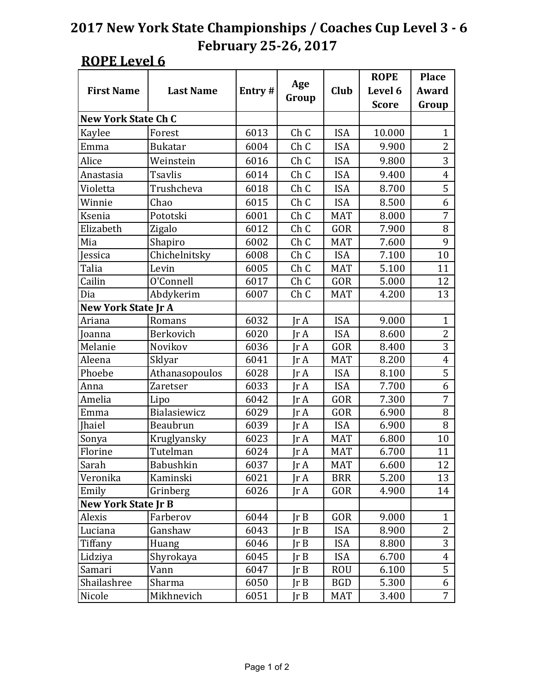|                            |                  |        |                 |             | <b>ROPE</b>  | <b>Place</b>   |
|----------------------------|------------------|--------|-----------------|-------------|--------------|----------------|
| <b>First Name</b>          | <b>Last Name</b> | Entry# | Age             | <b>Club</b> | Level 6      | Award          |
|                            |                  |        | Group           |             | <b>Score</b> | Group          |
| <b>New York State Ch C</b> |                  |        |                 |             |              |                |
| Kaylee                     | Forest           | 6013   | ChC             | <b>ISA</b>  | 10.000       | $\mathbf 1$    |
| Emma                       | <b>Bukatar</b>   | 6004   | Ch <sub>C</sub> | <b>ISA</b>  | 9.900        | $\overline{2}$ |
| Alice                      | Weinstein        | 6016   | Ch <sub>C</sub> | <b>ISA</b>  | 9.800        | 3              |
| Anastasia                  | <b>Tsavlis</b>   | 6014   | Ch <sub>C</sub> | <b>ISA</b>  | 9.400        | 4              |
| Violetta                   | Trushcheva       | 6018   | Ch <sub>C</sub> | <b>ISA</b>  | 8.700        | 5              |
| Winnie                     | Chao             | 6015   | Ch <sub>C</sub> | <b>ISA</b>  | 8.500        | 6              |
| Ksenia                     | Pototski         | 6001   | Ch <sub>C</sub> | <b>MAT</b>  | 8.000        | 7              |
| Elizabeth                  | Zigalo           | 6012   | Ch <sub>C</sub> | GOR         | 7.900        | 8              |
| Mia                        | Shapiro          | 6002   | Ch <sub>C</sub> | <b>MAT</b>  | 7.600        | 9              |
| Jessica                    | Chichelnitsky    | 6008   | Ch <sub>C</sub> | <b>ISA</b>  | 7.100        | 10             |
| Talia                      | Levin            | 6005   | Ch <sub>C</sub> | <b>MAT</b>  | 5.100        | 11             |
| Cailin                     | O'Connell        | 6017   | Ch <sub>C</sub> | GOR         | 5.000        | 12             |
| Dia                        | Abdykerim        | 6007   | Ch <sub>C</sub> | <b>MAT</b>  | 4.200        | 13             |
| <b>New York State Jr A</b> |                  |        |                 |             |              |                |
| Ariana                     | Romans           | 6032   | $\text{Ir } A$  | <b>ISA</b>  | 9.000        | $\mathbf{1}$   |
| Joanna                     | Berkovich        | 6020   | $\text{Ir } A$  | <b>ISA</b>  | 8.600        | $\overline{2}$ |
| Melanie                    | Novikov          | 6036   | IrA             | GOR         | 8.400        | 3              |
| Aleena                     | Sklyar           | 6041   | $\text{Ir } A$  | <b>MAT</b>  | 8.200        | $\overline{4}$ |
| Phoebe                     | Athanasopoulos   | 6028   | $\text{Ir } A$  | <b>ISA</b>  | 8.100        | $\overline{5}$ |
| Anna                       | <b>Zaretser</b>  | 6033   | $\text{Ir } A$  | <b>ISA</b>  | 7.700        | 6              |
| Amelia                     | Lipo             | 6042   | IrA             | GOR         | 7.300        | 7              |
| Emma                       | Bialasiewicz     | 6029   | $\text{Ir } A$  | GOR         | 6.900        | 8              |
| <b>Ihaiel</b>              | Beaubrun         | 6039   | $\text{Ir } A$  | <b>ISA</b>  | 6.900        | 8              |
| Sonya                      | Kruglyansky      | 6023   | $\text{Tr }A$   | <b>MAT</b>  | 6.800        | 10             |
| Florine                    | Tutelman         | 6024   | $\text{Tr }A$   | <b>MAT</b>  | 6.700        | 11             |
| Sarah                      | Babushkin        | 6037   | $\text{Tr }A$   | <b>MAT</b>  | 6.600        | 12             |
| Veronika                   | Kaminski         | 6021   | IrA             | <b>BRR</b>  | 5.200        | 13             |
| Emily                      | Grinberg         | 6026   | JrA             | GOR         | 4.900        | 14             |
| <b>New York State Jr B</b> |                  |        |                 |             |              |                |
| Alexis                     | Farberov         | 6044   | $\text{lr } B$  | GOR         | 9.000        | $\mathbf{1}$   |
| Luciana                    | Ganshaw          | 6043   | Ir B            | <b>ISA</b>  | 8.900        | $\overline{2}$ |
| Tiffany                    | Huang            | 6046   | Ir B            | <b>ISA</b>  | 8.800        | 3              |
| Lidziya                    | Shyrokaya        | 6045   | Ir B            | <b>ISA</b>  | 6.700        | 4              |
| Samari                     | Vann             | 6047   | Ir B            | <b>ROU</b>  | 6.100        | 5              |
| Shailashree                | Sharma           | 6050   | Ir B            | <b>BGD</b>  | 5.300        | 6              |
| Nicole                     | Mikhnevich       | 6051   | JrB             | <b>MAT</b>  | 3.400        | $\overline{7}$ |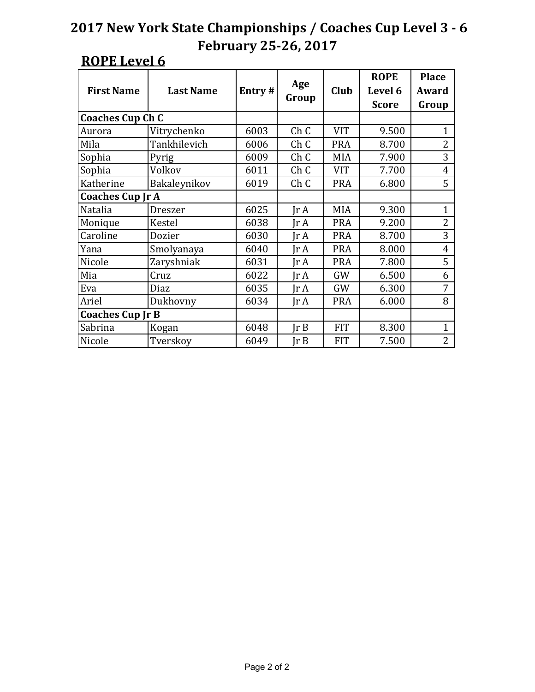| <b>First Name</b>       | <b>Last Name</b>        | Entry# | Age                   | <b>Club</b> | <b>ROPE</b><br>Level 6 | <b>Place</b><br>Award |
|-------------------------|-------------------------|--------|-----------------------|-------------|------------------------|-----------------------|
|                         |                         |        | Group<br><b>Score</b> |             |                        | Group                 |
| <b>Coaches Cup Ch C</b> |                         |        |                       |             |                        |                       |
| Aurora                  | Vitrychenko             | 6003   | ChC                   | <b>VIT</b>  | 9.500                  | $\mathbf{1}$          |
| Mila                    | Tankhilevich            | 6006   | ChC                   | <b>PRA</b>  | 8.700                  | $\overline{2}$        |
| Sophia                  | Pyrig                   | 6009   | Ch <sub>C</sub>       | <b>MIA</b>  | 7.900                  | 3                     |
| Sophia                  | Volkov                  | 6011   | Ch <sub>C</sub>       | <b>VIT</b>  | 7.700                  | $\overline{4}$        |
| Katherine               | Bakaleynikov            | 6019   | ChC                   | <b>PRA</b>  | 6.800                  | 5                     |
|                         | <b>Coaches Cup Jr A</b> |        |                       |             |                        |                       |
| Natalia                 | <b>Dreszer</b>          | 6025   | Ir A                  | <b>MIA</b>  | 9.300                  | $\mathbf{1}$          |
| Monique                 | Kestel                  | 6038   | Ir A                  | <b>PRA</b>  | 9.200                  | $\overline{2}$        |
| Caroline                | Dozier                  | 6030   | Jr A                  | <b>PRA</b>  | 8.700                  | 3                     |
| Yana                    | Smolyanaya              | 6040   | Jr A                  | <b>PRA</b>  | 8.000                  | $\overline{4}$        |
| Nicole                  | Zaryshniak              | 6031   | Ir A                  | <b>PRA</b>  | 7.800                  | 5                     |
| Mia                     | Cruz                    | 6022   | Ir A                  | GW          | 6.500                  | 6                     |
| Eva                     | Diaz                    | 6035   | Jr A                  | GW          | 6.300                  | 7                     |
| Ariel                   | Dukhovny                | 6034   | Jr A                  | <b>PRA</b>  | 6.000                  | 8                     |
| <b>Coaches Cup Jr B</b> |                         |        |                       |             |                        |                       |
| Sabrina                 | Kogan                   | 6048   | Ir B                  | <b>FIT</b>  | 8.300                  | 1                     |
| Nicole                  | Tverskoy                | 6049   | Jr B                  | <b>FIT</b>  | 7.500                  | $\overline{2}$        |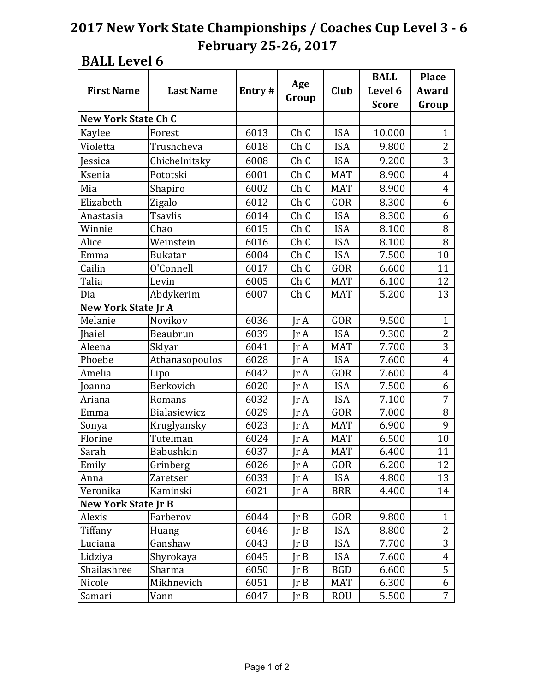### **BALL Level 6**

|                            |                  |        |                              |             | <b>BALL</b>  | <b>Place</b>   |
|----------------------------|------------------|--------|------------------------------|-------------|--------------|----------------|
| <b>First Name</b>          | <b>Last Name</b> | Entry# | Age                          | <b>Club</b> | Level 6      | Award          |
|                            |                  |        | Group                        |             | <b>Score</b> | Group          |
| <b>New York State Ch C</b> |                  |        |                              |             |              |                |
| Kaylee                     | Forest           | 6013   | Ch <sub>C</sub>              | <b>ISA</b>  | 10.000       | 1              |
| Violetta                   | Trushcheva       | 6018   | Ch <sub>C</sub>              | <b>ISA</b>  | 9.800        | $\overline{2}$ |
| Jessica                    | Chichelnitsky    | 6008   | Ch <sub>C</sub>              | <b>ISA</b>  | 9.200        | 3              |
| Ksenia                     | Pototski         | 6001   | Ch <sub>C</sub>              | <b>MAT</b>  | 8.900        | $\overline{4}$ |
| Mia                        | Shapiro          | 6002   | Ch <sub>C</sub>              | <b>MAT</b>  | 8.900        | $\overline{4}$ |
| Elizabeth                  | Zigalo           | 6012   | Ch <sub>C</sub>              | GOR         | 8.300        | 6              |
| Anastasia                  | <b>Tsavlis</b>   | 6014   | Ch <sub>C</sub>              | <b>ISA</b>  | 8.300        | 6              |
| Winnie                     | Chao             | 6015   | Ch <sub>C</sub>              | <b>ISA</b>  | 8.100        | 8              |
| Alice                      | Weinstein        | 6016   | Ch <sub>C</sub>              | <b>ISA</b>  | 8.100        | 8              |
| Emma                       | <b>Bukatar</b>   | 6004   | Ch <sub>C</sub>              | <b>ISA</b>  | 7.500        | 10             |
| Cailin                     | O'Connell        | 6017   | Ch <sub>C</sub>              | GOR         | 6.600        | 11             |
| Talia                      | Levin            | 6005   | Ch <sub>C</sub>              | <b>MAT</b>  | 6.100        | 12             |
| Dia                        | Abdykerim        | 6007   | Ch <sub>C</sub>              | <b>MAT</b>  | 5.200        | 13             |
| <b>New York State Jr A</b> |                  |        |                              |             |              |                |
| Melanie                    | Novikov          | 6036   | $\text{Tr }A$                | GOR         | 9.500        | $\mathbf{1}$   |
| <b>Ihaiel</b>              | <b>Beaubrun</b>  | 6039   | $\text{Tr }A$                | <b>ISA</b>  | 9.300        | $\overline{2}$ |
| Aleena                     | Sklyar           | 6041   | $\text{Tr }A$                | <b>MAT</b>  | 7.700        | 3              |
| Phoebe                     | Athanasopoulos   | 6028   | $\text{Tr }A$                | <b>ISA</b>  | 7.600        | $\overline{4}$ |
| Amelia                     | Lipo             | 6042   | $\text{Tr }A$                | GOR         | 7.600        | $\overline{4}$ |
| Joanna                     | Berkovich        | 6020   | $\text{Tr }A$                | <b>ISA</b>  | 7.500        | 6              |
| Ariana                     | Romans           | 6032   | $\text{Tr }A$                | <b>ISA</b>  | 7.100        | 7              |
| Emma                       | Bialasiewicz     | 6029   | $\text{Tr }A$                | GOR         | 7.000        | 8              |
| Sonya                      | Kruglyansky      | 6023   | $\text{Ir } A$               | <b>MAT</b>  | 6.900        | 9              |
| Florine                    | Tutelman         | 6024   | JrA                          | <b>MAT</b>  | 6.500        | 10             |
| Sarah                      | <b>Babushkin</b> | 6037   | $\text{Tr }A$                | <b>MAT</b>  | 6.400        | 11             |
| Emily                      | Grinberg         | 6026   | Jr A                         | GOR         | 6.200        | 12             |
| Anna                       | Zaretser         | 6033   | JrA                          | <b>ISA</b>  | 4.800        | 13             |
| Veronika                   | Kaminski         | 6021   | $\mathop{\rm Ir}\nolimits$ A | BRR         | 4.400        | 14             |
| New York State Jr B        |                  |        |                              |             |              |                |
| Alexis                     | Farberov         | 6044   | JrB                          | GOR         | 9.800        | $\mathbf{1}$   |
| Tiffany                    | Huang            | 6046   | JrB                          | ISA         | 8.800        | 2              |
| Luciana                    | Ganshaw          | 6043   | JrB                          | ISA         | 7.700        | 3              |
| Lidziya                    | Shyrokaya        | 6045   | JrB                          | <b>ISA</b>  | 7.600        | 4              |
| Shailashree                | Sharma           | 6050   | JrB                          | BGD         | 6.600        | 5              |
| Nicole                     | Mikhnevich       | 6051   | JrB                          | MAT         | 6.300        | 6              |
| Samari                     | Vann             | 6047   | JrB                          | <b>ROU</b>  | 5.500        | 7              |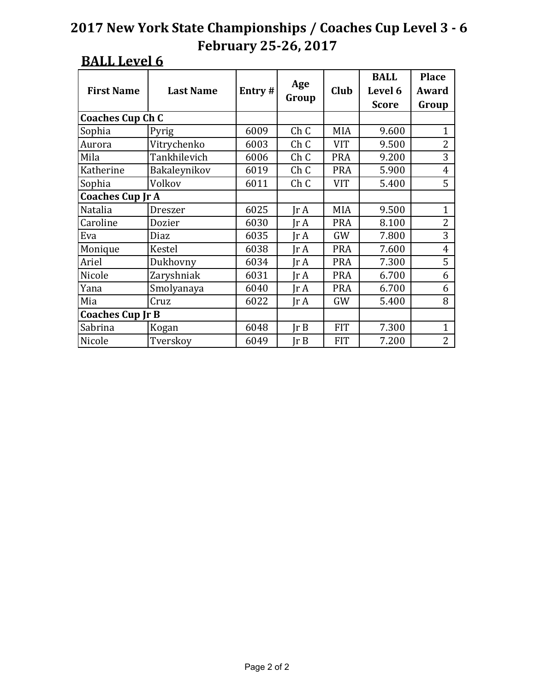### **BALL Level 6**

| <b>First Name</b>       | <b>Last Name</b> | Entry# | Age<br>Group    | Club       | <b>BALL</b><br>Level 6<br><b>Score</b> | <b>Place</b><br>Award<br>Group |
|-------------------------|------------------|--------|-----------------|------------|----------------------------------------|--------------------------------|
| <b>Coaches Cup Ch C</b> |                  |        |                 |            |                                        |                                |
| Sophia                  | Pyrig            | 6009   | Ch <sub>C</sub> | <b>MIA</b> | 9.600                                  | $\mathbf{1}$                   |
| Aurora                  | Vitrychenko      | 6003   | ChC             | <b>VIT</b> | 9.500                                  | $\overline{2}$                 |
| Mila                    | Tankhilevich     | 6006   | ChC             | <b>PRA</b> | 9.200                                  | 3                              |
| Katherine               | Bakaleynikov     | 6019   | Ch <sub>C</sub> | <b>PRA</b> | 5.900                                  | $\overline{4}$                 |
| Sophia                  | Volkov           | 6011   | ChC             | <b>VIT</b> | 5.400                                  | 5                              |
| <b>Coaches Cup Jr A</b> |                  |        |                 |            |                                        |                                |
| Natalia                 | Dreszer          | 6025   | Ir A            | <b>MIA</b> | 9.500                                  | $\mathbf{1}$                   |
| Caroline                | Dozier           | 6030   | Ir A            | <b>PRA</b> | 8.100                                  | $\overline{2}$                 |
| Eva                     | Diaz             | 6035   | Jr A            | GW         | 7.800                                  | 3                              |
| Monique                 | Kestel           | 6038   | Jr A            | <b>PRA</b> | 7.600                                  | $\overline{4}$                 |
| Ariel                   | Dukhovny         | 6034   | Ir A            | <b>PRA</b> | 7.300                                  | 5                              |
| Nicole                  | Zaryshniak       | 6031   | IrA             | <b>PRA</b> | 6.700                                  | 6                              |
| Yana                    | Smolyanaya       | 6040   | $\text{Ir } A$  | <b>PRA</b> | 6.700                                  | 6                              |
| Mia                     | Cruz             | 6022   | $\text{Ir } A$  | GW         | 5.400                                  | 8                              |
| <b>Coaches Cup Jr B</b> |                  |        |                 |            |                                        |                                |
| Sabrina                 | Kogan            | 6048   | Ir B            | <b>FIT</b> | 7.300                                  | $\mathbf{1}$                   |
| Nicole                  | Tverskoy         | 6049   | Ir B            | <b>FIT</b> | 7.200                                  | $\overline{2}$                 |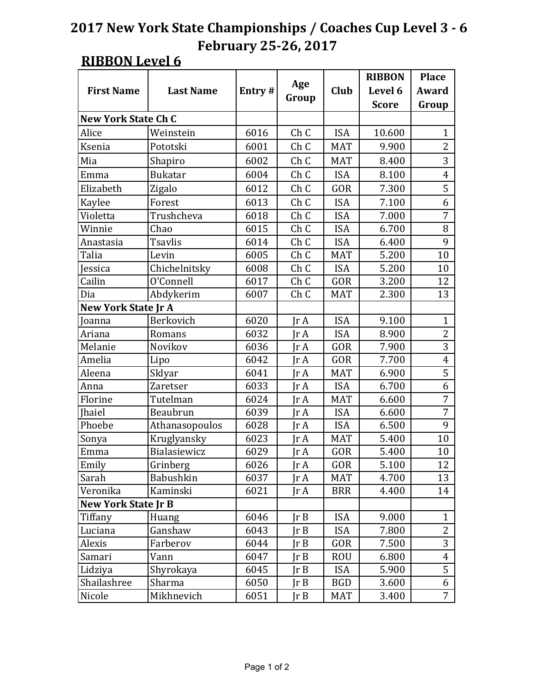### **RIBBON Level 6**

|                            |                  |        |                 |            | <b>RIBBON</b> | <b>Place</b>   |
|----------------------------|------------------|--------|-----------------|------------|---------------|----------------|
| <b>First Name</b>          | <b>Last Name</b> | Entry# | Age             | Club       | Level 6       | <b>Award</b>   |
|                            |                  |        | Group           |            | <b>Score</b>  | Group          |
| <b>New York State Ch C</b> |                  |        |                 |            |               |                |
| Alice                      | Weinstein        | 6016   | Ch <sub>C</sub> | <b>ISA</b> | 10.600        | 1              |
| Ksenia                     | Pototski         | 6001   | ChC             | <b>MAT</b> | 9.900         | $\overline{2}$ |
| Mia                        | Shapiro          | 6002   | Ch <sub>C</sub> | <b>MAT</b> | 8.400         | 3              |
| Emma                       | <b>Bukatar</b>   | 6004   | Ch <sub>C</sub> | <b>ISA</b> | 8.100         | $\overline{4}$ |
| Elizabeth                  | Zigalo           | 6012   | ChC             | GOR        | 7.300         | 5              |
| Kaylee                     | Forest           | 6013   | Ch <sub>C</sub> | <b>ISA</b> | 7.100         | 6              |
| Violetta                   | Trushcheva       | 6018   | Ch <sub>C</sub> | <b>ISA</b> | 7.000         | $\overline{7}$ |
| Winnie                     | Chao             | 6015   | Ch <sub>C</sub> | <b>ISA</b> | 6.700         | 8              |
| Anastasia                  | <b>Tsavlis</b>   | 6014   | Ch <sub>C</sub> | <b>ISA</b> | 6.400         | 9              |
| Talia                      | Levin            | 6005   | Ch <sub>C</sub> | <b>MAT</b> | 5.200         | 10             |
| Jessica                    | Chichelnitsky    | 6008   | Ch <sub>C</sub> | <b>ISA</b> | 5.200         | 10             |
| Cailin                     | O'Connell        | 6017   | Ch <sub>C</sub> | GOR        | 3.200         | 12             |
| Dia                        | Abdykerim        | 6007   | Ch <sub>C</sub> | <b>MAT</b> | 2.300         | 13             |
| <b>New York State Jr A</b> |                  |        |                 |            |               |                |
| Joanna                     | Berkovich        | 6020   | $\text{Tr }A$   | <b>ISA</b> | 9.100         | $\mathbf{1}$   |
| Ariana                     | Romans           | 6032   | IrA             | <b>ISA</b> | 8.900         | $\overline{2}$ |
| Melanie                    | Novikov          | 6036   | $\text{Ir } A$  | GOR        | 7.900         | 3              |
| Amelia                     | Lipo             | 6042   | $\text{Tr }A$   | GOR        | 7.700         | $\overline{4}$ |
| Aleena                     | Sklyar           | 6041   | $\text{Tr }A$   | <b>MAT</b> | 6.900         | $\overline{5}$ |
| Anna                       | <b>Zaretser</b>  | 6033   | $\text{Tr }A$   | <b>ISA</b> | 6.700         | 6              |
| Florine                    | Tutelman         | 6024   | Ir A            | <b>MAT</b> | 6.600         | 7              |
| <b>Jhaiel</b>              | Beaubrun         | 6039   | $\text{Tr }A$   | <b>ISA</b> | 6.600         | 7              |
| Phoebe                     | Athanasopoulos   | 6028   | $\text{Tr }A$   | <b>ISA</b> | 6.500         | 9              |
| Sonya                      | Kruglyansky      | 6023   | $\text{Tr }A$   | <b>MAT</b> | 5.400         | 10             |
| Emma                       | Bialasiewicz     | 6029   | $\text{Ir } A$  | GOR        | 5.400         | 10             |
| Emily                      | Grinberg         | 6026   | JrA             | GOR        | 5.100         | 12             |
| Sarah                      | Babushkin        | 6037   | Jr A            | <b>MAT</b> | 4.700         | 13             |
| Veronika                   | Kaminski         | 6021   | JrA             | <b>BRR</b> | 4.400         | 14             |
| <b>New York State Jr B</b> |                  |        |                 |            |               |                |
| Tiffany                    | Huang            | 6046   | Ir B            | <b>ISA</b> | 9.000         | $\mathbf{1}$   |
| Luciana                    | Ganshaw          | 6043   | Ir B            | <b>ISA</b> | 7.800         | $\overline{2}$ |
| Alexis                     | Farberov         | 6044   | $\text{Ir }B$   | GOR        | 7.500         | 3              |
| Samari                     | Vann             | 6047   | Ir B            | <b>ROU</b> | 6.800         | $\overline{4}$ |
| Lidziya                    | Shyrokaya        | 6045   | Ir B            | <b>ISA</b> | 5.900         | 5              |
| Shailashree                | Sharma           | 6050   | Ir B            | <b>BGD</b> | 3.600         | 6              |
| Nicole                     | Mikhnevich       | 6051   | JrB             | <b>MAT</b> | 3.400         | $\overline{7}$ |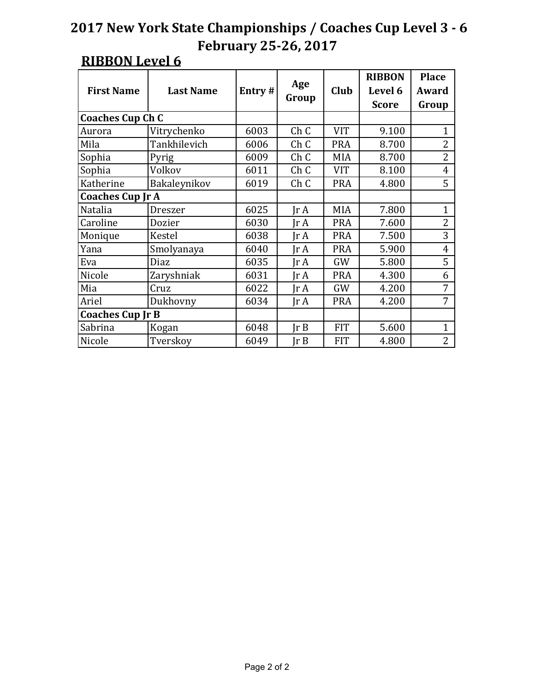#### **RIBBON Level 6**

| <b>First Name</b>       | <b>Last Name</b> | Entry# | Age<br>Group                 | Club       | <b>RIBBON</b><br>Level 6<br><b>Score</b> | <b>Place</b><br>Award<br>Group |
|-------------------------|------------------|--------|------------------------------|------------|------------------------------------------|--------------------------------|
| <b>Coaches Cup Ch C</b> |                  |        |                              |            |                                          |                                |
| Aurora                  | Vitrychenko      | 6003   | ChC                          | <b>VIT</b> | 9.100                                    | $\mathbf{1}$                   |
| Mila                    | Tankhilevich     | 6006   | ChC                          | <b>PRA</b> | 8.700                                    | $\overline{2}$                 |
| Sophia                  | Pyrig            | 6009   | Ch <sub>C</sub>              | <b>MIA</b> | 8.700                                    | $\overline{2}$                 |
| Sophia                  | Volkov           | 6011   | Ch <sub>C</sub>              | <b>VIT</b> | 8.100                                    | $\overline{4}$                 |
| Katherine               | Bakaleynikov     | 6019   | ChC                          | <b>PRA</b> | 4.800                                    | 5                              |
| <b>Coaches Cup Jr A</b> |                  |        |                              |            |                                          |                                |
| Natalia                 | <b>Dreszer</b>   | 6025   | $\text{Ir } A$               | <b>MIA</b> | 7.800                                    | $\mathbf{1}$                   |
| Caroline                | Dozier           | 6030   | $\text{Ir } A$               | <b>PRA</b> | 7.600                                    | $\overline{2}$                 |
| Monique                 | Kestel           | 6038   | Ir A                         | <b>PRA</b> | 7.500                                    | 3                              |
| Yana                    | Smolyanaya       | 6040   | Ir A                         | <b>PRA</b> | 5.900                                    | $\overline{4}$                 |
| Eva                     | Diaz             | 6035   | Jr A                         | GW         | 5.800                                    | 5                              |
| Nicole                  | Zaryshniak       | 6031   | Ir A                         | <b>PRA</b> | 4.300                                    | 6                              |
| Mia                     | Cruz             | 6022   | Jr A                         | GW         | 4.200                                    | 7                              |
| Ariel                   | Dukhovny         | 6034   | $\mathop{\rm Ir}\nolimits$ A | <b>PRA</b> | 4.200                                    | 7                              |
| <b>Coaches Cup Jr B</b> |                  |        |                              |            |                                          |                                |
| Sabrina                 | Kogan            | 6048   | Ir B                         | <b>FIT</b> | 5.600                                    | 1                              |
| Nicole                  | Tverskoy         | 6049   | Jr B                         | <b>FIT</b> | 4.800                                    | $\overline{2}$                 |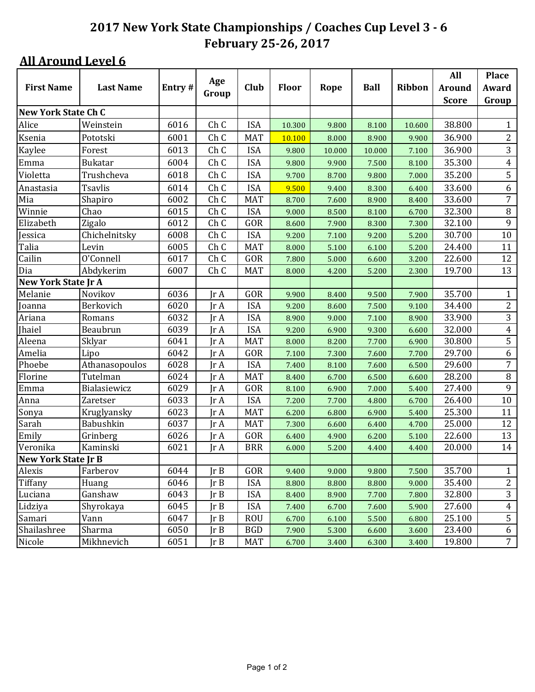|                            |                  |        |                              |            |              |        |             |               | All           | <b>Place</b>   |
|----------------------------|------------------|--------|------------------------------|------------|--------------|--------|-------------|---------------|---------------|----------------|
| <b>First Name</b>          | <b>Last Name</b> | Entry# | Age                          | Club       | <b>Floor</b> | Rope   | <b>Ball</b> | <b>Ribbon</b> | <b>Around</b> | Award          |
|                            |                  |        | Group                        |            |              |        |             |               | <b>Score</b>  | Group          |
| <b>New York State Ch C</b> |                  |        |                              |            |              |        |             |               |               |                |
| Alice                      | Weinstein        | 6016   | Ch C                         | <b>ISA</b> | 10.300       | 9.800  | 8.100       | 10.600        | 38.800        | 1              |
| Ksenia                     | Pototski         | 6001   | Ch <sub>C</sub>              | <b>MAT</b> | 10.100       | 8.000  | 8.900       | 9.900         | 36.900        | $\mathbf{2}$   |
| Kaylee                     | Forest           | 6013   | Ch C                         | <b>ISA</b> | 9.800        | 10.000 | 10.000      | 7.100         | 36.900        | 3              |
| Emma                       | <b>Bukatar</b>   | 6004   | Ch C                         | <b>ISA</b> | 9.800        | 9.900  | 7.500       | 8.100         | 35.300        | $\overline{4}$ |
| Violetta                   | Trushcheva       | 6018   | Ch C                         | <b>ISA</b> | 9.700        | 8.700  | 9.800       | 7.000         | 35.200        | 5              |
| Anastasia                  | <b>Tsavlis</b>   | 6014   | Ch C                         | <b>ISA</b> | 9.500        | 9.400  | 8.300       | 6.400         | 33.600        | 6              |
| Mia                        | Shapiro          | 6002   | Ch C                         | <b>MAT</b> | 8.700        | 7.600  | 8.900       | 8.400         | 33.600        | $\overline{7}$ |
| Winnie                     | Chao             | 6015   | Ch <sub>C</sub>              | <b>ISA</b> | 9.000        | 8.500  | 8.100       | 6.700         | 32.300        | $\, 8$         |
| Elizabeth                  | Zigalo           | 6012   | Ch C                         | GOR        | 8.600        | 7.900  | 8.300       | 7.300         | 32.100        | 9              |
| Jessica                    | Chichelnitsky    | 6008   | Ch C                         | <b>ISA</b> | 9.200        | 7.100  | 9.200       | 5.200         | 30.700        | 10             |
| Talia                      | Levin            | 6005   | Ch C                         | <b>MAT</b> | 8.000        | 5.100  | 6.100       | 5.200         | 24.400        | 11             |
| Cailin                     | O'Connell        | 6017   | Ch <sub>C</sub>              | GOR        | 7.800        | 5.000  | 6.600       | 3.200         | 22.600        | 12             |
| Dia                        | Abdykerim        | 6007   | Ch C                         | <b>MAT</b> | 8.000        | 4.200  | 5.200       | 2.300         | 19.700        | 13             |
| New York State Jr A        |                  |        |                              |            |              |        |             |               |               |                |
| Melanie                    | Novikov          | 6036   | IrA                          | GOR        | 9.900        | 8.400  | 9.500       | 7.900         | 35.700        | $\mathbf{1}$   |
| Joanna                     | Berkovich        | 6020   | Jr A                         | <b>ISA</b> | 9.200        | 8.600  | 7.500       | 9.100         | 34.400        | $\overline{c}$ |
| Ariana                     | Romans           | 6032   | Jr A                         | <b>ISA</b> | 8.900        | 9.000  | 7.100       | 8.900         | 33.900        | 3              |
| Jhaiel                     | Beaubrun         | 6039   | $\text{Tr }A$                | <b>ISA</b> | 9.200        | 6.900  | 9.300       | 6.600         | 32.000        | $\overline{4}$ |
| Aleena                     | Sklyar           | 6041   | Jr A                         | <b>MAT</b> | 8.000        | 8.200  | 7.700       | 6.900         | 30.800        | 5              |
| Amelia                     | Lipo             | 6042   | Jr A                         | GOR        | 7.100        | 7.300  | 7.600       | 7.700         | 29.700        | 6              |
| Phoebe                     | Athanasopoulos   | 6028   | Jr A                         | <b>ISA</b> | 7.400        | 8.100  | 7.600       | 6.500         | 29.600        | $\overline{7}$ |
| Florine                    | Tutelman         | 6024   | IrA                          | <b>MAT</b> | 8.400        | 6.700  | 6.500       | 6.600         | 28.200        | $\, 8$         |
| Emma                       | Bialasiewicz     | 6029   | IrA                          | GOR        | 8.100        | 6.900  | 7.000       | 5.400         | 27.400        | 9              |
| Anna                       | <b>Zaretser</b>  | 6033   | Jr A                         | <b>ISA</b> | 7.200        | 7.700  | 4.800       | 6.700         | 26.400        | 10             |
| Sonya                      | Kruglyansky      | 6023   | Jr A                         | <b>MAT</b> | 6.200        | 6.800  | 6.900       | 5.400         | 25.300        | 11             |
| Sarah                      | Babushkin        | 6037   | Jr A                         | <b>MAT</b> | 7.300        | 6.600  | 6.400       | 4.700         | 25.000        | 12             |
| Emily                      | Grinberg         | 6026   | $\mathop{\rm Ir}\nolimits$ A | GOR        | 6.400        | 4.900  | 6.200       | 5.100         | 22.600        | 13             |
| Veronika                   | Kaminski         | 6021   | Jr A                         | <b>BRR</b> | 6.000        | 5.200  | 4.400       | 4.400         | 20.000        | 14             |
| New York State Jr B        |                  |        |                              |            |              |        |             |               |               |                |
| Alexis                     | Farberov         | 6044   | Ir B                         | GOR        | 9.400        | 9.000  | 9.800       | 7.500         | 35.700        | 1              |
| Tiffany                    | Huang            | 6046   | Ir B                         | <b>ISA</b> | 8.800        | 8.800  | 8.800       | 9.000         | 35.400        | $\overline{2}$ |
| Luciana                    | Ganshaw          | 6043   | Ir B                         | <b>ISA</b> | 8.400        | 8.900  | 7.700       | 7.800         | 32.800        | $\overline{3}$ |
| Lidziya                    | Shyrokaya        | 6045   | $\mathsf{lr}\,\mathsf{B}$    | <b>ISA</b> | 7.400        | 6.700  | 7.600       | 5.900         | 27.600        | $\overline{4}$ |
| Samari                     | Vann             | 6047   | Ir B                         | <b>ROU</b> | 6.700        | 6.100  | 5.500       | 6.800         | 25.100        | 5              |
| Shailashree                | Sharma           | 6050   | JrB                          | <b>BGD</b> | 7.900        | 5.300  | 6.600       | 3.600         | 23.400        | 6              |
| Nicole                     | Mikhnevich       | 6051   | Ir B                         | <b>MAT</b> | 6.700        | 3.400  | 6.300       | 3.400         | 19.800        | 7 <sup>7</sup> |